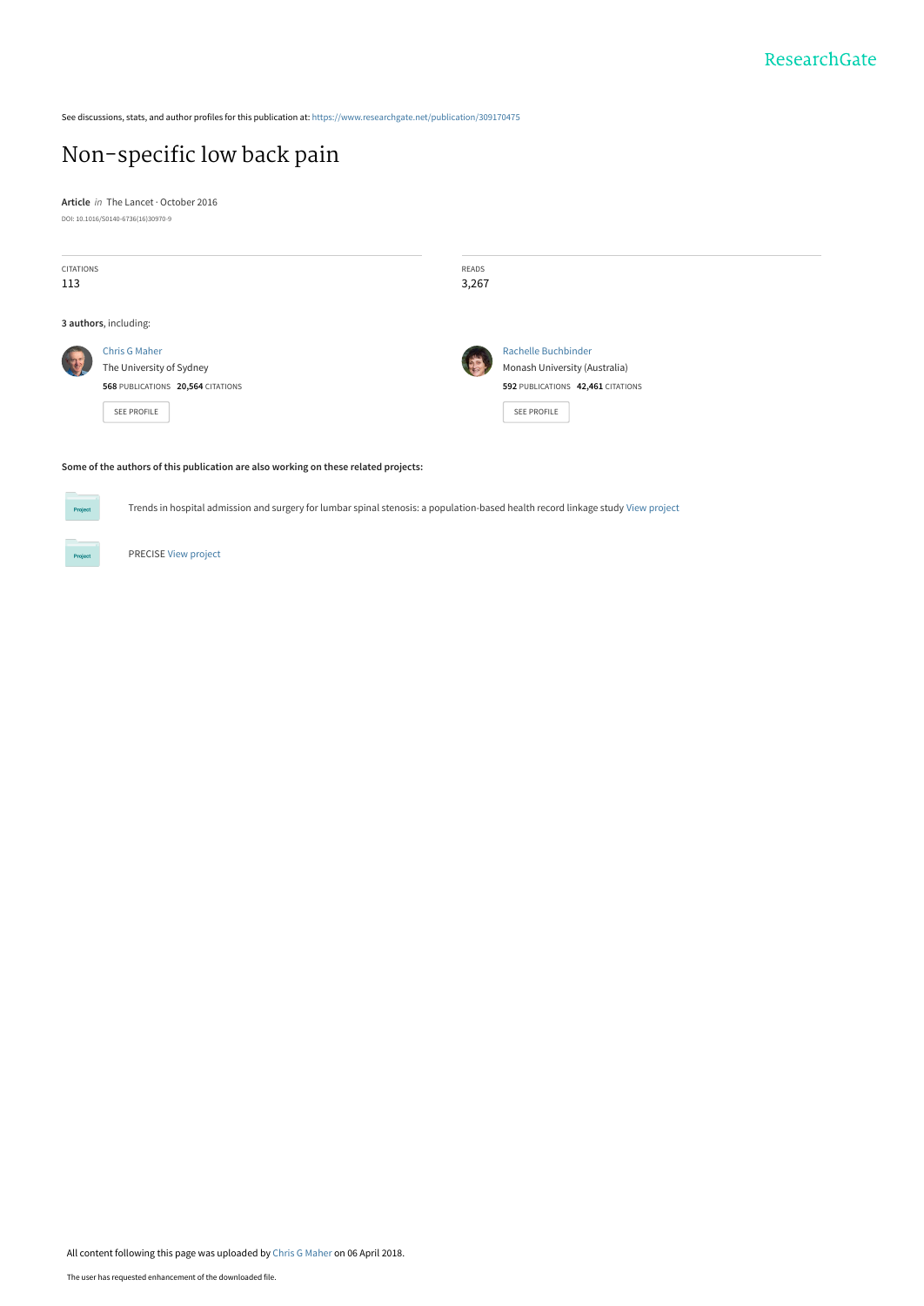See discussions, stats, and author profiles for this publication at: [https://www.researchgate.net/publication/309170475](https://www.researchgate.net/publication/309170475_Non-specific_low_back_pain?enrichId=rgreq-fb6ac6f2229c803deb1715f1106add37-XXX&enrichSource=Y292ZXJQYWdlOzMwOTE3MDQ3NTtBUzo2MTIyNTAyNjgyMjE0NDJAMTUyMjk4MzI0NzgzNQ%3D%3D&el=1_x_2&_esc=publicationCoverPdf)

## [Non-specific low back pain](https://www.researchgate.net/publication/309170475_Non-specific_low_back_pain?enrichId=rgreq-fb6ac6f2229c803deb1715f1106add37-XXX&enrichSource=Y292ZXJQYWdlOzMwOTE3MDQ3NTtBUzo2MTIyNTAyNjgyMjE0NDJAMTUyMjk4MzI0NzgzNQ%3D%3D&el=1_x_3&_esc=publicationCoverPdf)

**Article** in The Lancet · October 2016 DOI: 10.1016/S0140-6736(16)30970-9

| CITATIONS<br>113 |                                                                                                             | READS<br>3,267 |                                                                                                                        |
|------------------|-------------------------------------------------------------------------------------------------------------|----------------|------------------------------------------------------------------------------------------------------------------------|
|                  | 3 authors, including:                                                                                       |                |                                                                                                                        |
|                  | <b>Chris G Maher</b><br>The University of Sydney<br>568 PUBLICATIONS 20,564 CITATIONS<br><b>SEE PROFILE</b> |                | <b>Rachelle Buchbinder</b><br>Monash University (Australia)<br>592 PUBLICATIONS 42,461 CITATIONS<br><b>SEE PROFILE</b> |

#### **Some of the authors of this publication are also working on these related projects:**

Trends in hospital admission and surgery for lumbar spinal stenosis: a population-based health record linkage study [View project](https://www.researchgate.net/project/Trends-in-hospital-admission-and-surgery-for-lumbar-spinal-stenosis-a-population-based-health-record-linkage-study?enrichId=rgreq-fb6ac6f2229c803deb1715f1106add37-XXX&enrichSource=Y292ZXJQYWdlOzMwOTE3MDQ3NTtBUzo2MTIyNTAyNjgyMjE0NDJAMTUyMjk4MzI0NzgzNQ%3D%3D&el=1_x_9&_esc=publicationCoverPdf)



Project

PRECISE [View project](https://www.researchgate.net/project/PRECISE?enrichId=rgreq-fb6ac6f2229c803deb1715f1106add37-XXX&enrichSource=Y292ZXJQYWdlOzMwOTE3MDQ3NTtBUzo2MTIyNTAyNjgyMjE0NDJAMTUyMjk4MzI0NzgzNQ%3D%3D&el=1_x_9&_esc=publicationCoverPdf)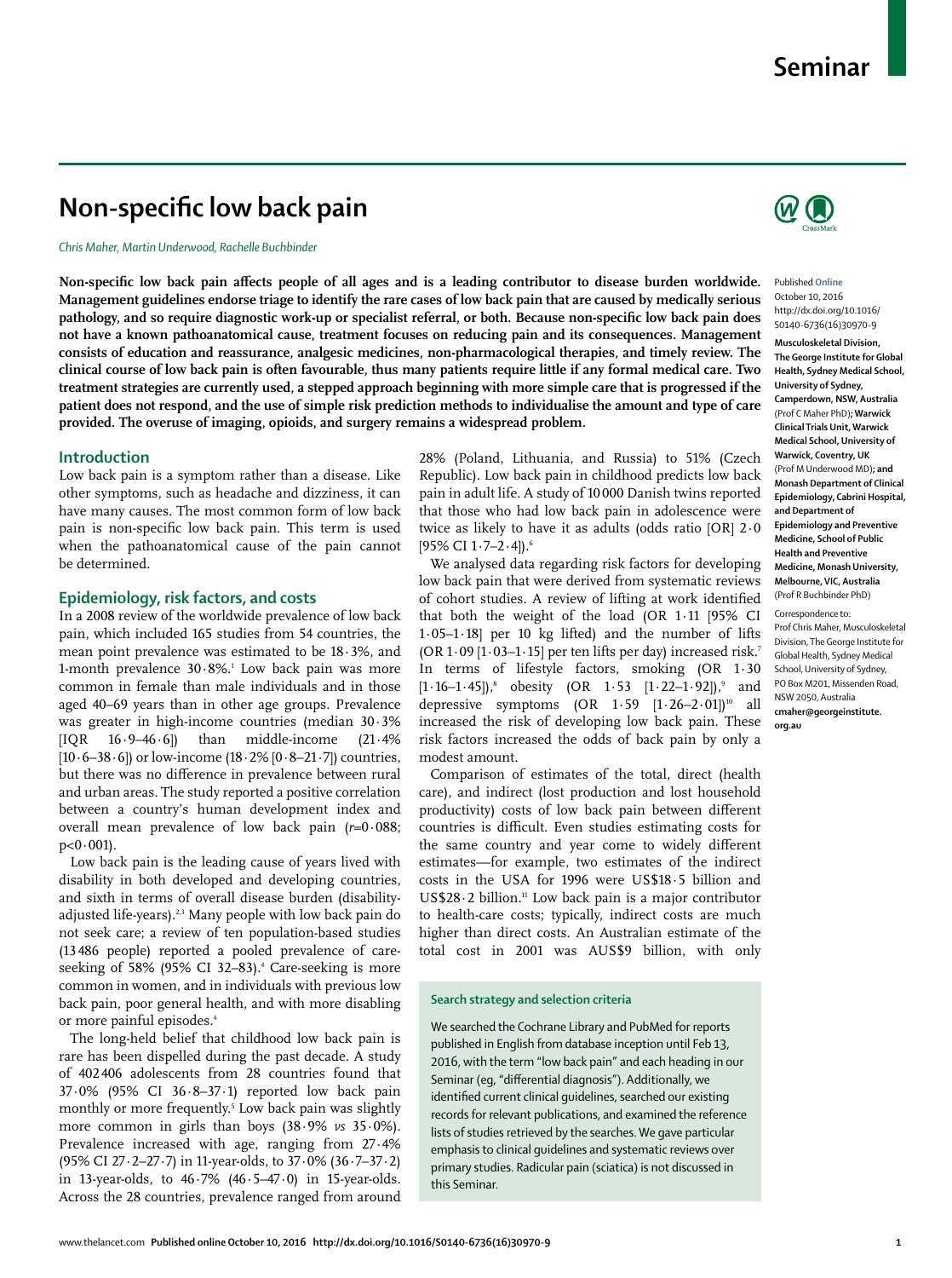# **Non-specific low back pain**

#### *Chris Maher, Martin Underwood, Rachelle Buchbinder*

Non-specific low back pain affects people of all ages and is a leading contributor to disease burden worldwide. **Management guidelines endorse triage to identify the rare cases of low back pain that are caused by medically serious**  pathology, and so require diagnostic work-up or specialist referral, or both. Because non-specific low back pain does **not have a known pathoanatomical cause, treatment focuses on reducing pain and its consequences. Management consists of education and reassurance, analgesic medicines, non-pharmacological therapies, and timely review. The clinical course of low back pain is often favourable, thus many patients require little if any formal medical care. Two treatment strategies are currently used, a stepped approach beginning with more simple care that is progressed if the patient does not respond, and the use of simple risk prediction methods to individualise the amount and type of care provided. The overuse of imaging, opioids, and surgery remains a widespread problem.**

#### **Introduction**

Low back pain is a symptom rather than a disease. Like other symptoms, such as headache and dizziness, it can have many causes. The most common form of low back pain is non-specific low back pain. This term is used when the pathoanatomical cause of the pain cannot be determined.

#### **Epidemiology, risk factors, and costs**

In a 2008 review of the worldwide prevalence of low back pain, which included 165 studies from 54 countries, the mean point prevalence was estimated to be 18·3%, and 1-month prevalence  $30.8\%$ .<sup>1</sup> Low back pain was more common in female than male individuals and in those aged 40–69 years than in other age groups. Prevalence was greater in high-income countries (median 30·3%  $[IQR \t16.9-46.6]$  than middle-income  $(21.4\%)$ [10·6–38·6]) or low-income (18·2% [0·8–21·7]) countries, but there was no difference in prevalence between rural and urban areas. The study reported a positive correlation between a country's human development index and overall mean prevalence of low back pain (*r*=0·088;  $p < 0.001$ ).

Low back pain is the leading cause of years lived with disability in both developed and developing countries, and sixth in terms of overall disease burden (disabilityadjusted life-years).<sup>2,3</sup> Many people with low back pain do not seek care; a review of ten population-based studies (13 486 people) reported a pooled prevalence of careseeking of 58% (95% CI 32–83).<sup>4</sup> Care-seeking is more common in women, and in individuals with previous low back pain, poor general health, and with more disabling or more painful episodes.<sup>4</sup>

The long-held belief that childhood low back pain is rare has been dispelled during the past decade. A study of 402 406 adolescents from 28 countries found that 37·0% (95% CI 36·8–37·1) reported low back pain monthly or more frequently.5 Low back pain was slightly more common in girls than boys (38·9% *vs* 35·0%). Prevalence increased with age, ranging from 27·4% (95% CI 27·2–27·7) in 11-year-olds, to 37·0% (36·7–37·2) in 13-year-olds, to  $46.7\%$   $(46.5-47.0)$  in 15-year-olds. Across the 28 countries, prevalence ranged from around

28% (Poland, Lithuania, and Russia) to 51% (Czech Republic). Low back pain in childhood predicts low back pain in adult life. A study of 10 000 Danish twins reported that those who had low back pain in adolescence were twice as likely to have it as adults (odds ratio [OR] 2·0 [95% CI 1·7-2·4]).<sup>6</sup>

We analysed data regarding risk factors for developing low back pain that were derived from systematic reviews of cohort studies. A review of lifting at work identified that both the weight of the load (OR 1·11 [95% CI 1·05–1·18] per 10 kg lifted) and the number of lifts (OR  $1.09$  [ $1.03-1.15$ ] per ten lifts per day) increased risk.<sup>7</sup> In terms of lifestyle factors, smoking (OR 1·30  $[1.16-1.45]$ , obesity (OR  $1.53$   $[1.22-1.92]$ ), and depressive symptoms  $(OR \t1.59 \t[1.26-2.01])^{10}$  all increased the risk of developing low back pain. These risk factors increased the odds of back pain by only a modest amount.

Comparison of estimates of the total, direct (health care), and indirect (lost production and lost household productivity) costs of low back pain between different countries is difficult. Even studies estimating costs for the same country and year come to widely different estimates—for example, two estimates of the indirect costs in the USA for 1996 were US\$18·5 billion and US\$28.2 billion.<sup>11</sup> Low back pain is a major contributor to health-care costs; typically, indirect costs are much higher than direct costs. An Australian estimate of the total cost in 2001 was AUS\$9 billion, with only

#### **Search strategy and selection criteria**

We searched the Cochrane Library and PubMed for reports published in English from database inception until Feb 13, 2016, with the term "low back pain" and each heading in our Seminar (eq, "differential diagnosis"). Additionally, we identified current clinical guidelines, searched our existing records for relevant publications, and examined the reference lists of studies retrieved by the searches. We gave particular emphasis to clinical guidelines and systematic reviews over primary studies. Radicular pain (sciatica) is not discussed in this Seminar.



Published **Online** October 10, 2016 http://dx.doi.org/10.1016/ S0140-6736(16)30970-9

**Musculoskeletal Division, The George Institute for Global Health, Sydney Medical School, University of Sydney, Camperdown, NSW, Australia** (Prof C Maher PhD)**; Warwick Clinical Trials Unit, Warwick Medical School, University of Warwick, Coventry, UK** (Prof M Underwood MD)**; and Monash Department of Clinical Epidemiology, Cabrini Hospital, and Department of Epidemiology and Preventive Medicine, School of Public Health and Preventive Medicine, Monash University, Melbourne, VIC, Australia** (Prof R Buchbinder PhD)

Correspondence to: Prof Chris Maher, Musculoskeletal Division, The George Institute for Global Health, Sydney Medical School, University of Sydney, PO Box M201, Missenden Road, NSW 2050, Australia **cmaher@georgeinstitute. org.au**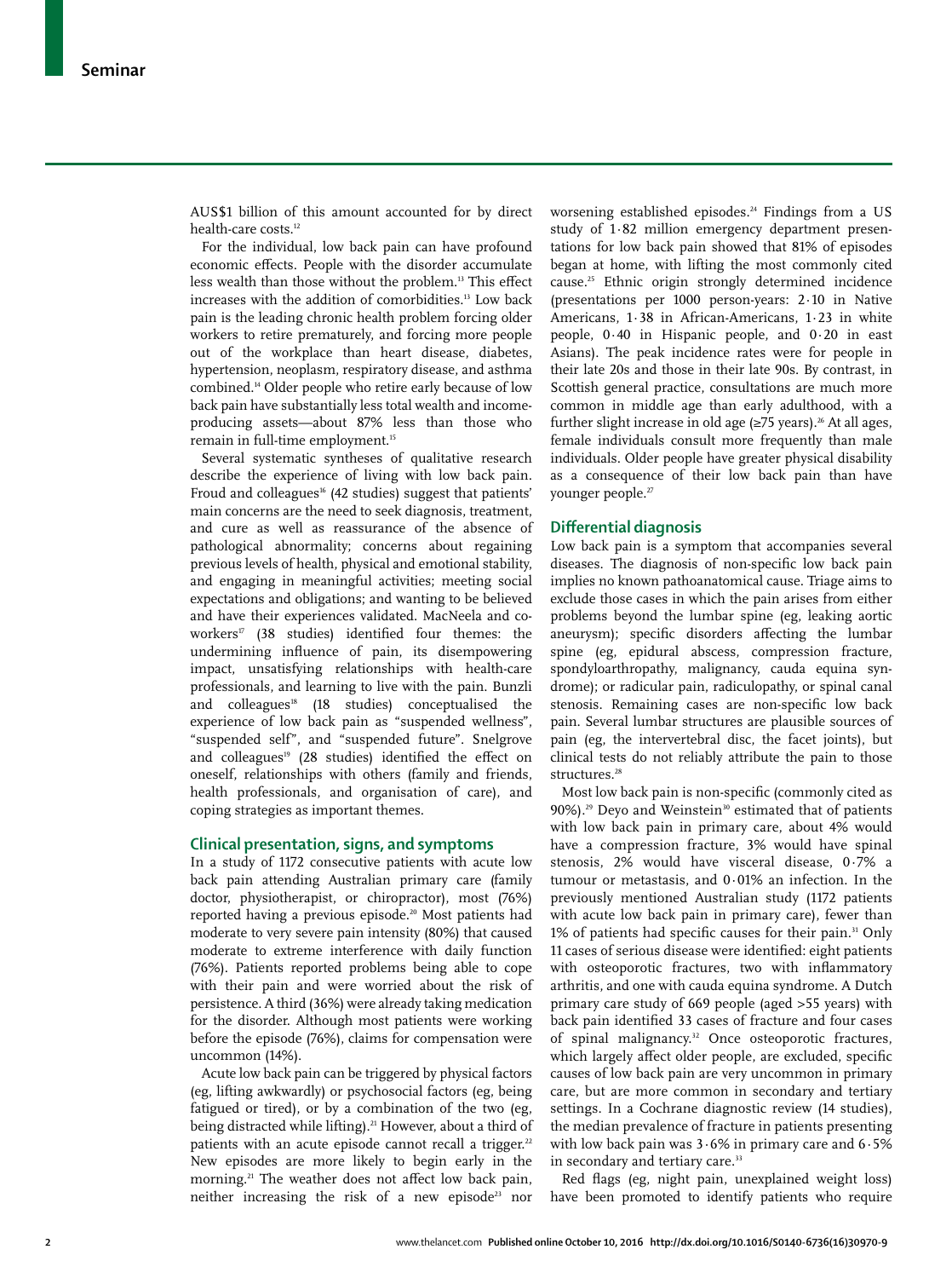AUS\$1 billion of this amount accounted for by direct health-care costs.<sup>12</sup>

For the individual, low back pain can have profound economic effects. People with the disorder accumulate less wealth than those without the problem.<sup>13</sup> This effect increases with the addition of comorbidities.13 Low back pain is the leading chronic health problem forcing older workers to retire prematurely, and forcing more people out of the workplace than heart disease, diabetes, hypertension, neoplasm, respiratory disease, and asthma combined.14 Older people who retire early because of low back pain have substantially less total wealth and incomeproducing assets—about 87% less than those who remain in full-time employment.<sup>15</sup>

Several systematic syntheses of qualitative research describe the experience of living with low back pain. Froud and colleagues<sup>16</sup> (42 studies) suggest that patients' main concerns are the need to seek diagnosis, treatment, and cure as well as reassurance of the absence of pathological abnormality; concerns about regaining previous levels of health, physical and emotional stability, and engaging in meaningful activities; meeting social expectations and obligations; and wanting to be believed and have their experiences validated. MacNeela and coworkers<sup>17</sup> (38 studies) identified four themes: the undermining influence of pain, its disempowering impact, unsatisfying relationships with health-care professionals, and learning to live with the pain. Bunzli and colleagues $18$  (18 studies) conceptualised the experience of low back pain as "suspended wellness", "suspended self", and "suspended future". Snelgrove and colleagues<sup>19</sup> (28 studies) identified the effect on oneself, relationships with others (family and friends, health professionals, and organisation of care), and coping strategies as important themes.

#### **Clinical presentation, signs, and symptoms**

In a study of 1172 consecutive patients with acute low back pain attending Australian primary care (family doctor, physiotherapist, or chiropractor), most (76%) reported having a previous episode.<sup>20</sup> Most patients had moderate to very severe pain intensity (80%) that caused moderate to extreme interference with daily function (76%). Patients reported problems being able to cope with their pain and were worried about the risk of persistence. A third (36%) were already taking medication for the disorder. Although most patients were working before the episode (76%), claims for compensation were uncommon (14%).

Acute low back pain can be triggered by physical factors (eg, lifting awkwardly) or psychosocial factors (eg, being fatigued or tired), or by a combination of the two (eg, being distracted while lifting).<sup>21</sup> However, about a third of patients with an acute episode cannot recall a trigger.<sup>22</sup> New episodes are more likely to begin early in the morning.<sup>21</sup> The weather does not affect low back pain, neither increasing the risk of a new episode<sup>23</sup> nor worsening established episodes.<sup>24</sup> Findings from a US study of 1·82 million emergency department presentations for low back pain showed that 81% of episodes began at home, with lifting the most commonly cited cause.25 Ethnic origin strongly determined incidence (presentations per 1000 person-years: 2·10 in Native Americans, 1·38 in African-Americans, 1·23 in white people, 0·40 in Hispanic people, and 0·20 in east Asians). The peak incidence rates were for people in their late 20s and those in their late 90s. By contrast, in Scottish general practice, consultations are much more common in middle age than early adulthood, with a further slight increase in old age  $(\geq 75 \text{ years})$ .<sup>26</sup> At all ages, female individuals consult more frequently than male individuals. Older people have greater physical disability as a consequence of their low back pain than have younger people.<sup>27</sup>

#### **Diff erential diagnosis**

Low back pain is a symptom that accompanies several diseases. The diagnosis of non-specific low back pain implies no known pathoanatomical cause. Triage aims to exclude those cases in which the pain arises from either problems beyond the lumbar spine (eg, leaking aortic aneurysm); specific disorders affecting the lumbar spine (eg, epidural abscess, compression fracture, spondyloarthropathy, malignancy, cauda equina syndrome); or radicular pain, radiculopathy, or spinal canal stenosis. Remaining cases are non-specific low back pain. Several lumbar structures are plausible sources of pain (eg, the intervertebral disc, the facet joints), but clinical tests do not reliably attribute the pain to those structures.<sup>28</sup>

Most low back pain is non-specific (commonly cited as 90%).<sup>29</sup> Deyo and Weinstein<sup>30</sup> estimated that of patients with low back pain in primary care, about 4% would have a compression fracture, 3% would have spinal stenosis, 2% would have visceral disease, 0·7% a tumour or metastasis, and 0·01% an infection. In the previously mentioned Australian study (1172 patients with acute low back pain in primary care), fewer than 1% of patients had specific causes for their pain.<sup>31</sup> Only 11 cases of serious disease were identified: eight patients with osteoporotic fractures, two with inflammatory arthritis, and one with cauda equina syndrome. A Dutch primary care study of 669 people (aged >55 years) with back pain identified 33 cases of fracture and four cases of spinal malignancy.<sup>32</sup> Once osteoporotic fractures, which largely affect older people, are excluded, specific causes of low back pain are very uncommon in primary care, but are more common in secondary and tertiary settings. In a Cochrane diagnostic review (14 studies), the median prevalence of fracture in patients presenting with low back pain was  $3.6\%$  in primary care and  $6.5\%$ in secondary and tertiary care.<sup>33</sup>

Red flags (eg, night pain, unexplained weight loss) have been promoted to identify patients who require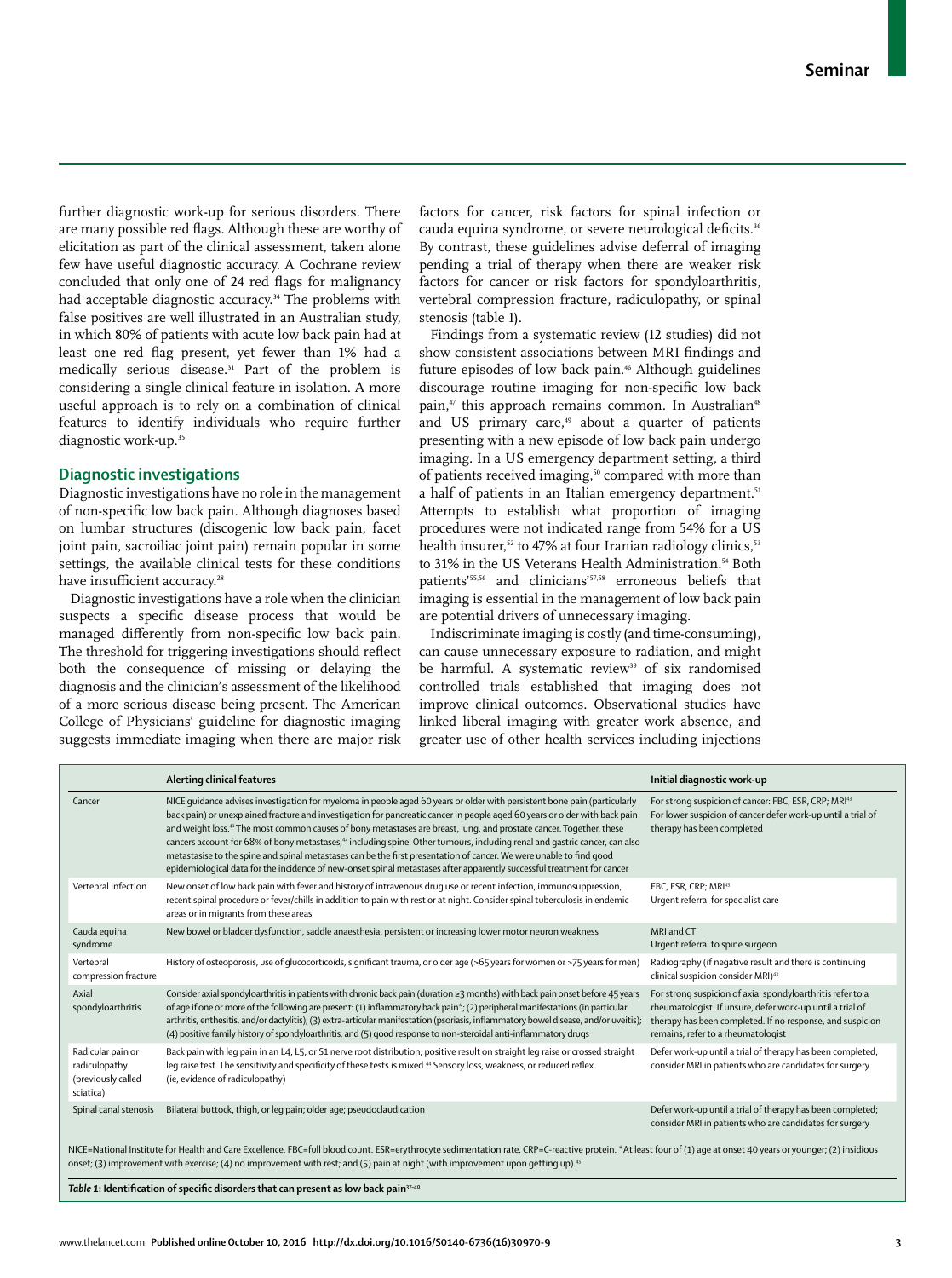further diagnostic work-up for serious disorders. There are many possible red flags. Although these are worthy of elicitation as part of the clinical assessment, taken alone few have useful diagnostic accuracy. A Cochrane review concluded that only one of 24 red flags for malignancy had acceptable diagnostic accuracy.<sup>34</sup> The problems with false positives are well illustrated in an Australian study, in which 80% of patients with acute low back pain had at least one red flag present, yet fewer than 1% had a medically serious disease.31 Part of the problem is considering a single clinical feature in isolation. A more useful approach is to rely on a combination of clinical features to identify individuals who require further diagnostic work-up.<sup>35</sup>

## **Diagnostic investigations**

Diagnostic investigations have no role in the management of non-specific low back pain. Although diagnoses based on lumbar structures (discogenic low back pain, facet joint pain, sacroiliac joint pain) remain popular in some settings, the available clinical tests for these conditions have insufficient accuracy.<sup>28</sup>

Diagnostic investigations have a role when the clinician suspects a specific disease process that would be managed differently from non-specific low back pain. The threshold for triggering investigations should reflect both the consequence of missing or delaying the diagnosis and the clinician's assessment of the likelihood of a more serious disease being present. The American College of Physicians' guideline for diagnostic imaging suggests immediate imaging when there are major risk

factors for cancer, risk factors for spinal infection or cauda equina syndrome, or severe neurological deficits.<sup>36</sup> By contrast, these guidelines advise deferral of imaging pending a trial of therapy when there are weaker risk factors for cancer or risk factors for spondyloarthritis, vertebral compression fracture, radiculopathy, or spinal stenosis (table 1).

Findings from a systematic review (12 studies) did not show consistent associations between MRI findings and future episodes of low back pain.<sup>46</sup> Although guidelines discourage routine imaging for non-specific low back pain, $47$  this approach remains common. In Australian $48$ and US primary care,<sup>49</sup> about a quarter of patients presenting with a new episode of low back pain undergo imaging. In a US emergency department setting, a third of patients received imaging,<sup>50</sup> compared with more than a half of patients in an Italian emergency department.<sup>51</sup> Attempts to establish what proportion of imaging procedures were not indicated range from 54% for a US health insurer,<sup>52</sup> to 47% at four Iranian radiology clinics,<sup>53</sup> to 31% in the US Veterans Health Administration.<sup>54</sup> Both patients'55,56 and clinicians'57,58 erroneous beliefs that imaging is essential in the management of low back pain are potential drivers of unnecessary imaging.

Indiscriminate imaging is costly (and time-consuming), can cause unnecessary exposure to radiation, and might be harmful. A systematic review<sup>39</sup> of six randomised controlled trials established that imaging does not improve clinical outcomes. Observational studies have linked liberal imaging with greater work absence, and greater use of other health services including injections

|                                                                                                                                                                                                                                                                                                                                                                | Alerting clinical features                                                                                                                                                                                                                                                                                                                                                                                                                                                                                                                                                                                                                                                                                                                                                           | Initial diagnostic work-up                                                                                                                                                                                                 |  |  |  |  |
|----------------------------------------------------------------------------------------------------------------------------------------------------------------------------------------------------------------------------------------------------------------------------------------------------------------------------------------------------------------|--------------------------------------------------------------------------------------------------------------------------------------------------------------------------------------------------------------------------------------------------------------------------------------------------------------------------------------------------------------------------------------------------------------------------------------------------------------------------------------------------------------------------------------------------------------------------------------------------------------------------------------------------------------------------------------------------------------------------------------------------------------------------------------|----------------------------------------------------------------------------------------------------------------------------------------------------------------------------------------------------------------------------|--|--|--|--|
| Cancer                                                                                                                                                                                                                                                                                                                                                         | NICE quidance advises investigation for myeloma in people aged 60 years or older with persistent bone pain (particularly<br>back pain) or unexplained fracture and investigation for pancreatic cancer in people aged 60 years or older with back pain<br>and weight loss. <sup>41</sup> The most common causes of bony metastases are breast, lung, and prostate cancer. Together, these<br>cancers account for 68% of bony metastases, <sup>42</sup> including spine. Other tumours, including renal and gastric cancer, can also<br>metastasise to the spine and spinal metastases can be the first presentation of cancer. We were unable to find good<br>epidemiological data for the incidence of new-onset spinal metastases after apparently successful treatment for cancer | For strong suspicion of cancer: FBC, ESR, CRP; MRI <sup>43</sup><br>For lower suspicion of cancer defer work-up until a trial of<br>therapy has been completed                                                             |  |  |  |  |
| Vertebral infection                                                                                                                                                                                                                                                                                                                                            | New onset of low back pain with fever and history of intravenous drug use or recent infection, immunosuppression,<br>recent spinal procedure or fever/chills in addition to pain with rest or at night. Consider spinal tuberculosis in endemic<br>areas or in migrants from these areas                                                                                                                                                                                                                                                                                                                                                                                                                                                                                             | FBC, ESR, CRP; MRI43<br>Urgent referral for specialist care                                                                                                                                                                |  |  |  |  |
| Cauda equina<br>syndrome                                                                                                                                                                                                                                                                                                                                       | New bowel or bladder dysfunction, saddle anaesthesia, persistent or increasing lower motor neuron weakness                                                                                                                                                                                                                                                                                                                                                                                                                                                                                                                                                                                                                                                                           | MRI and CT<br>Urgent referral to spine surgeon                                                                                                                                                                             |  |  |  |  |
| Vertebral<br>compression fracture                                                                                                                                                                                                                                                                                                                              | History of osteoporosis, use of glucocorticoids, significant trauma, or older age (>65 years for women or >75 years for men)                                                                                                                                                                                                                                                                                                                                                                                                                                                                                                                                                                                                                                                         | Radiography (if negative result and there is continuing<br>clinical suspicion consider MRI) <sup>43</sup>                                                                                                                  |  |  |  |  |
| Axial<br>spondyloarthritis                                                                                                                                                                                                                                                                                                                                     | Consider axial spondyloarthritis in patients with chronic back pain (duration ≥3 months) with back pain onset before 45 years<br>of age if one or more of the following are present: (1) inflammatory back pain*; (2) peripheral manifestations (in particular<br>arthritis, enthesitis, and/or dactylitis); (3) extra-articular manifestation (psoriasis, inflammatory bowel disease, and/or uveitis);<br>(4) positive family history of spondyloarthritis; and (5) good response to non-steroidal anti-inflammatory drugs                                                                                                                                                                                                                                                          | For strong suspicion of axial spondyloarthritis refer to a<br>rheumatologist. If unsure, defer work-up until a trial of<br>therapy has been completed. If no response, and suspicion<br>remains, refer to a rheumatologist |  |  |  |  |
| Radicular pain or<br>radiculopathy<br>(previously called<br>sciatica)                                                                                                                                                                                                                                                                                          | Back pain with leg pain in an L4, L5, or S1 nerve root distribution, positive result on straight leg raise or crossed straight<br>leg raise test. The sensitivity and specificity of these tests is mixed. <sup>44</sup> Sensory loss, weakness, or reduced reflex<br>(ie, evidence of radiculopathy)                                                                                                                                                                                                                                                                                                                                                                                                                                                                                | Defer work-up until a trial of therapy has been completed;<br>consider MRI in patients who are candidates for surgery                                                                                                      |  |  |  |  |
| Spinal canal stenosis                                                                                                                                                                                                                                                                                                                                          | Bilateral buttock, thigh, or leg pain; older age; pseudoclaudication                                                                                                                                                                                                                                                                                                                                                                                                                                                                                                                                                                                                                                                                                                                 | Defer work-up until a trial of therapy has been completed;<br>consider MRI in patients who are candidates for surgery                                                                                                      |  |  |  |  |
| NICE=National Institute for Health and Care Excellence. FBC=full blood count. ESR=erythrocyte sedimentation rate. CRP=C-reactive protein. *At least four of (1) age at onset 40 years or younger; (2) insidious<br>onset; (3) improvement with exercise; (4) no improvement with rest; and (5) pain at night (with improvement upon getting up). <sup>45</sup> |                                                                                                                                                                                                                                                                                                                                                                                                                                                                                                                                                                                                                                                                                                                                                                                      |                                                                                                                                                                                                                            |  |  |  |  |

Table 1: Identification of specific disorders that can present as low back pain<sup>37-40</sup>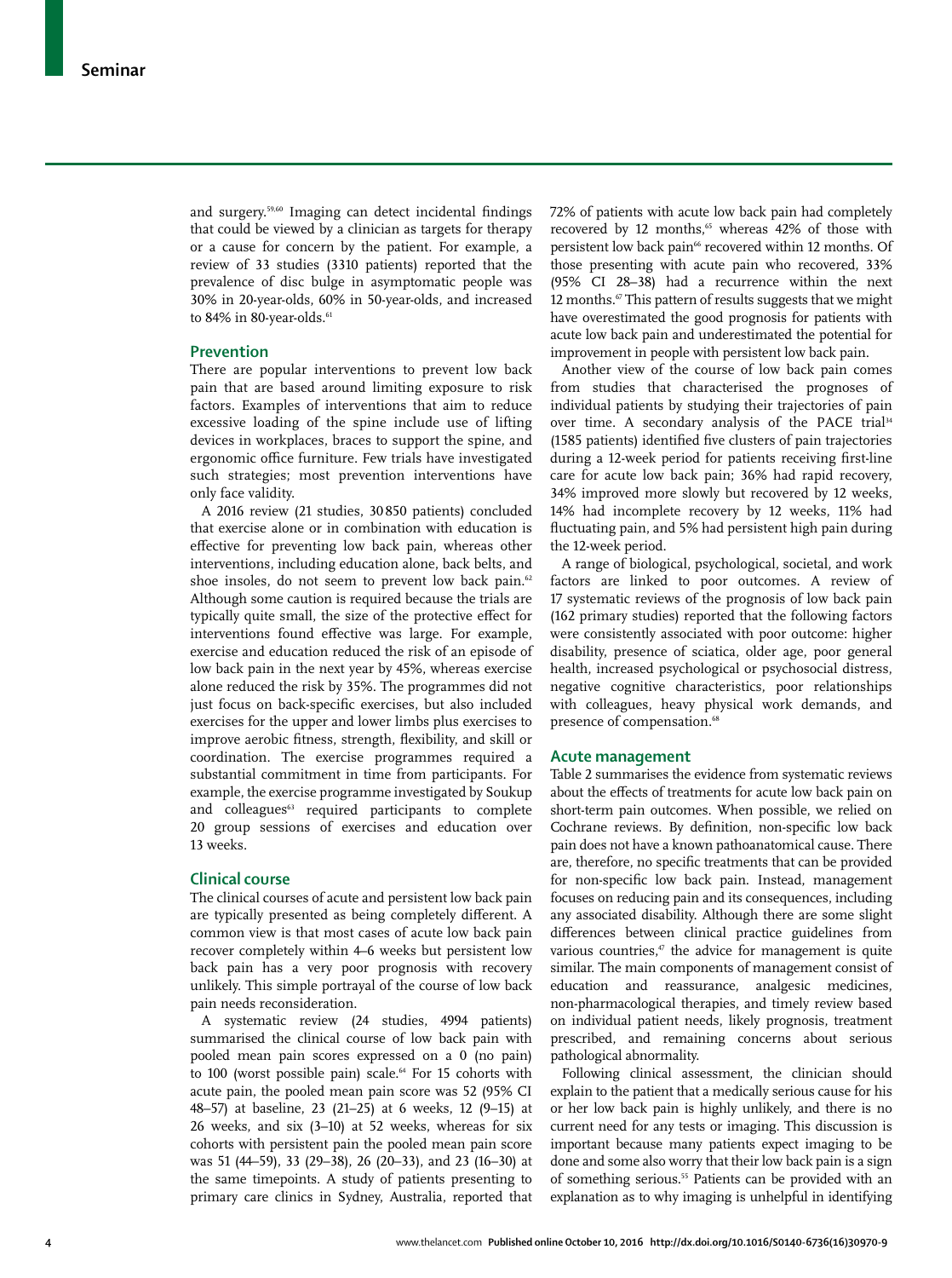and surgery.<sup>59,60</sup> Imaging can detect incidental findings that could be viewed by a clinician as targets for therapy or a cause for concern by the patient. For example, a review of 33 studies (3310 patients) reported that the prevalence of disc bulge in asymptomatic people was 30% in 20-year-olds, 60% in 50-year-olds, and increased to 84% in 80-year-olds.<sup>61</sup>

### **Prevention**

There are popular interventions to prevent low back pain that are based around limiting exposure to risk factors. Examples of interventions that aim to reduce excessive loading of the spine include use of lifting devices in workplaces, braces to support the spine, and ergonomic office furniture. Few trials have investigated such strategies; most prevention interventions have only face validity.

A 2016 review (21 studies, 30 850 patients) concluded that exercise alone or in combination with education is effective for preventing low back pain, whereas other interventions, including education alone, back belts, and shoe insoles, do not seem to prevent low back pain.<sup>62</sup> Although some caution is required because the trials are typically quite small, the size of the protective effect for interventions found effective was large. For example, exercise and education reduced the risk of an episode of low back pain in the next year by 45%, whereas exercise alone reduced the risk by 35%. The programmes did not just focus on back-specific exercises, but also included exercises for the upper and lower limbs plus exercises to improve aerobic fitness, strength, flexibility, and skill or coordination. The exercise programmes required a substantial commitment in time from participants. For example, the exercise programme investigated by Soukup and colleagues<sup>63</sup> required participants to complete 20 group sessions of exercises and education over 13 weeks.

### **Clinical course**

The clinical courses of acute and persistent low back pain are typically presented as being completely different. A common view is that most cases of acute low back pain recover completely within 4–6 weeks but persistent low back pain has a very poor prognosis with recovery unlikely. This simple portrayal of the course of low back pain needs reconsideration.

A systematic review (24 studies, 4994 patients) summarised the clinical course of low back pain with pooled mean pain scores expressed on a 0 (no pain) to 100 (worst possible pain) scale.<sup>64</sup> For 15 cohorts with acute pain, the pooled mean pain score was 52 (95% CI 48–57) at baseline, 23 (21–25) at 6 weeks, 12 (9–15) at 26 weeks, and six (3–10) at 52 weeks, whereas for six cohorts with persistent pain the pooled mean pain score was 51 (44–59), 33 (29–38), 26 (20–33), and 23 (16–30) at the same timepoints. A study of patients presenting to primary care clinics in Sydney, Australia, reported that 72% of patients with acute low back pain had completely recovered by 12 months,<sup>65</sup> whereas 42% of those with persistent low back pain<sup>66</sup> recovered within 12 months. Of those presenting with acute pain who recovered, 33% (95% CI 28–38) had a recurrence within the next 12 months.<sup>67</sup> This pattern of results suggests that we might have overestimated the good prognosis for patients with acute low back pain and underestimated the potential for improvement in people with persistent low back pain.

Another view of the course of low back pain comes from studies that characterised the prognoses of individual patients by studying their trajectories of pain over time. A secondary analysis of the PACE trial<sup>34</sup> (1585 patients) identified five clusters of pain trajectories during a 12-week period for patients receiving first-line care for acute low back pain; 36% had rapid recovery, 34% improved more slowly but recovered by 12 weeks, 14% had incomplete recovery by 12 weeks, 11% had fluctuating pain, and 5% had persistent high pain during the 12-week period.

A range of biological, psychological, societal, and work factors are linked to poor outcomes. A review of 17 systematic reviews of the prognosis of low back pain (162 primary studies) reported that the following factors were consistently associated with poor outcome: higher disability, presence of sciatica, older age, poor general health, increased psychological or psychosocial distress, negative cognitive characteristics, poor relationships with colleagues, heavy physical work demands, and presence of compensation.<sup>68</sup>

#### **Acute management**

Table 2 summarises the evidence from systematic reviews about the effects of treatments for acute low back pain on short-term pain outcomes. When possible, we relied on Cochrane reviews. By definition, non-specific low back pain does not have a known pathoanatomical cause. There are, therefore, no specific treatments that can be provided for non-specific low back pain. Instead, management focuses on reducing pain and its consequences, including any associated disability. Although there are some slight differences between clinical practice guidelines from various countries, $47$  the advice for management is quite similar. The main components of management consist of education and reassurance, analgesic medicines, non-pharmacological therapies, and timely review based on individual patient needs, likely prognosis, treatment prescribed, and remaining concerns about serious pathological abnormality.

Following clinical assessment, the clinician should explain to the patient that a medically serious cause for his or her low back pain is highly unlikely, and there is no current need for any tests or imaging. This discussion is important because many patients expect imaging to be done and some also worry that their low back pain is a sign of something serious.<sup>55</sup> Patients can be provided with an explanation as to why imaging is unhelpful in identifying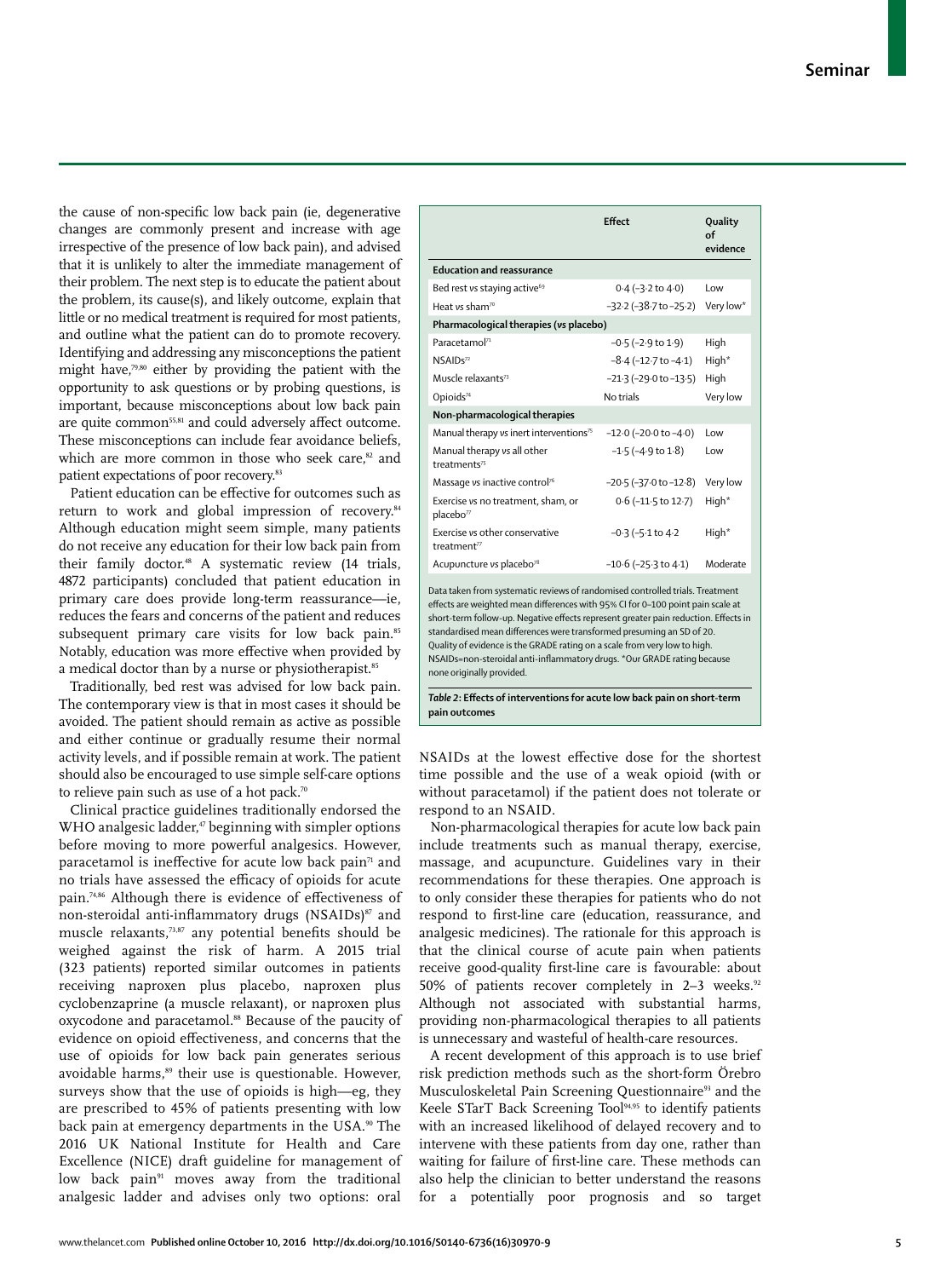the cause of non-specific low back pain (ie, degenerative changes are commonly present and increase with age irrespective of the presence of low back pain), and advised that it is unlikely to alter the immediate management of their problem. The next step is to educate the patient about the problem, its cause(s), and likely outcome, explain that little or no medical treatment is required for most patients, and outline what the patient can do to promote recovery. Identifying and addressing any misconceptions the patient might have,79,80 either by providing the patient with the opportunity to ask questions or by probing questions, is important, because misconceptions about low back pain are quite common<sup>55,81</sup> and could adversely affect outcome. These misconceptions can include fear avoidance beliefs, which are more common in those who seek care,<sup>82</sup> and patient expectations of poor recovery.<sup>83</sup>

Patient education can be effective for outcomes such as return to work and global impression of recovery.<sup>84</sup> Although education might seem simple, many patients do not receive any education for their low back pain from their family doctor.<sup>48</sup> A systematic review (14 trials, 4872 participants) concluded that patient education in primary care does provide long-term reassurance—ie, reduces the fears and concerns of the patient and reduces subsequent primary care visits for low back pain.<sup>85</sup> Notably, education was more effective when provided by a medical doctor than by a nurse or physiotherapist.<sup>85</sup>

Traditionally, bed rest was advised for low back pain. The contemporary view is that in most cases it should be avoided. The patient should remain as active as possible and either continue or gradually resume their normal activity levels, and if possible remain at work. The patient should also be encouraged to use simple self-care options to relieve pain such as use of a hot pack.<sup>70</sup>

Clinical practice guidelines traditionally endorsed the WHO analgesic ladder,<sup>47</sup> beginning with simpler options before moving to more powerful analgesics. However, paracetamol is ineffective for acute low back pain<sup> $71$ </sup> and no trials have assessed the efficacy of opioids for acute pain.<sup>74,86</sup> Although there is evidence of effectiveness of non-steroidal anti-inflammatory drugs (NSAIDs) $\frac{87}{3}$  and muscle relaxants,<sup>73,87</sup> any potential benefits should be weighed against the risk of harm. A 2015 trial (323 patients) reported similar outcomes in patients receiving naproxen plus placebo, naproxen plus cyclobenzaprine (a muscle relaxant), or naproxen plus oxycodone and paracetamol.88 Because of the paucity of evidence on opioid effectiveness, and concerns that the use of opioids for low back pain generates serious avoidable harms,<sup>89</sup> their use is questionable. However, surveys show that the use of opioids is high—eg, they are prescribed to 45% of patients presenting with low back pain at emergency departments in the USA.<sup>90</sup> The 2016 UK National Institute for Health and Care Excellence (NICE) draft guideline for management of low back pain<sup>91</sup> moves away from the traditional analgesic ladder and advises only two options: oral

|                                                                                                                                                                  | <b>Fffect</b>                         | Quality<br>Ωf<br>evidence |  |  |  |
|------------------------------------------------------------------------------------------------------------------------------------------------------------------|---------------------------------------|---------------------------|--|--|--|
| <b>Education and reassurance</b>                                                                                                                                 |                                       |                           |  |  |  |
| Bed rest vs staying active <sup>69</sup>                                                                                                                         | $0.4 (-3.2 \text{ to } 4.0)$          | Low                       |  |  |  |
| Heat ys sham <sup>70</sup>                                                                                                                                       | $-32.2$ ( $-38.7$ to $-25.2$ )        | Very low*                 |  |  |  |
| Pharmacological therapies (vs placebo)                                                                                                                           |                                       |                           |  |  |  |
| Paracetamol <sup>71</sup>                                                                                                                                        | $-0.5$ ( $-2.9$ to $1.9$ )            | High                      |  |  |  |
| $NSAIDs^{72}$                                                                                                                                                    | $-8.4 (-12.7$ to $-4.1)$              | High*                     |  |  |  |
| Muscle relaxants <sup>73</sup>                                                                                                                                   | $-21.3$ ( $-29.0$ to $-13.5$ )        | High                      |  |  |  |
| Opioids <sup>74</sup>                                                                                                                                            | No trials                             | Very low                  |  |  |  |
| Non-pharmacological therapies                                                                                                                                    |                                       |                           |  |  |  |
| Manual therapy vs inert interventions <sup>75</sup>                                                                                                              | $-12.0$ ( $-20.0$ to $-4.0$ )         | Low                       |  |  |  |
| Manual therapy vs all other<br>treatments <sup>75</sup>                                                                                                          | $-1.5$ ( $-4.9$ to $1.8$ )            | Low                       |  |  |  |
| Massage vs inactive control <sup>76</sup>                                                                                                                        | $-20.5$ ( $-37.0$ to $-12.8$ )        | Very low                  |  |  |  |
| Exercise vs no treatment, sham, or<br>placebo <sup>77</sup>                                                                                                      | $0.6$ (-11 $\cdot$ 5 to 12 $\cdot$ 7) | High*                     |  |  |  |
| Exercise vs other conservative<br>treatment <sup>77</sup>                                                                                                        | $-0.3$ ( $-5.1$ to $4.2$              | High*                     |  |  |  |
| Acupuncture vs placebo <sup>78</sup>                                                                                                                             | $-10.6$ ( $-25.3$ to $4.1$ )          | Moderate                  |  |  |  |
| Data taken from systematic reviews of randomised controlled trials. Treatment<br>effects are weighted mean differences with 95% CI for 0-100 point pain scale at |                                       |                           |  |  |  |

short-term follow-up. Negative effects represent greater pain reduction. Effects in standardised mean differences were transformed presuming an SD of 20. Quality of evidence is the GRADE rating on a scale from very low to high. NSAIDs=non-steroidal anti-inflammatory drugs. \*Our GRADE rating because none originally provided.

*Table 2***: Eff ects of interventions for acute low back pain on short-term pain outcomes** 

NSAIDs at the lowest effective dose for the shortest time possible and the use of a weak opioid (with or without paracetamol) if the patient does not tolerate or respond to an NSAID.

Non-pharmacological therapies for acute low back pain include treatments such as manual therapy, exercise, massage, and acupuncture. Guidelines vary in their recommendations for these therapies. One approach is to only consider these therapies for patients who do not respond to first-line care (education, reassurance, and analgesic medicines). The rationale for this approach is that the clinical course of acute pain when patients receive good-quality first-line care is favourable: about 50% of patients recover completely in 2-3 weeks.<sup>92</sup> Although not associated with substantial harms, providing non-pharmacological therapies to all patients is unnecessary and wasteful of health-care resources.

A recent development of this approach is to use brief risk prediction methods such as the short-form Örebro Musculoskeletal Pain Screening Ouestionnaire<sup>93</sup> and the Keele STarT Back Screening Tool<sup>94,95</sup> to identify patients with an increased likelihood of delayed recovery and to intervene with these patients from day one, rather than waiting for failure of first-line care. These methods can also help the clinician to better understand the reasons for a potentially poor prognosis and so target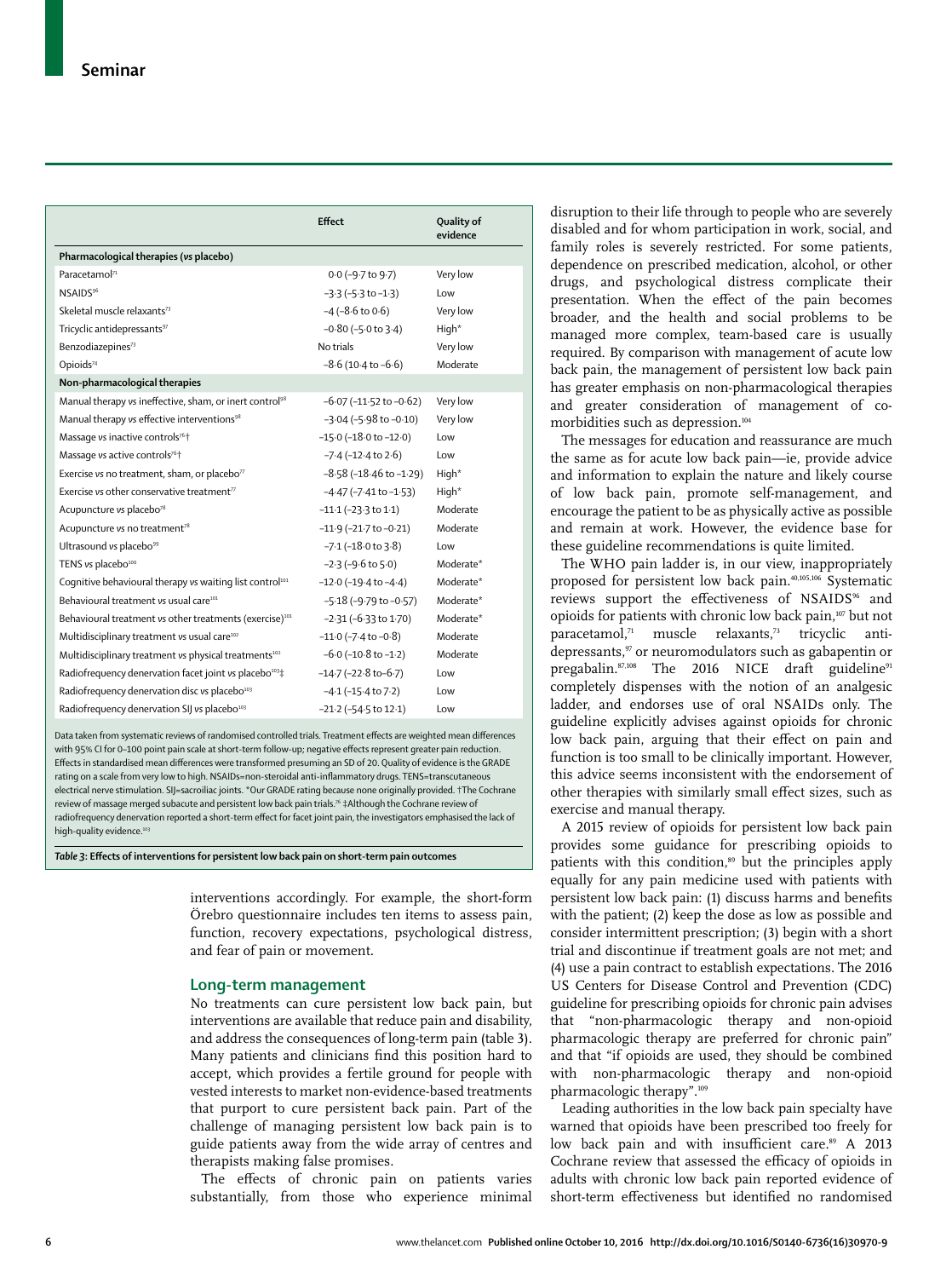|                                                                      | <b>Effect</b>                   | Quality of<br>evidence |
|----------------------------------------------------------------------|---------------------------------|------------------------|
| Pharmacological therapies (vs placebo)                               |                                 |                        |
| Paracetamol <sup>71</sup>                                            | 0.0 (-9.7 to 9.7)               | Very low               |
| NSAIDS <sup>96</sup>                                                 | $-3.3$ ( $-5.3$ to $-1.3$ )     | Low                    |
| Skeletal muscle relaxants <sup>73</sup>                              | $-4(-8.6 \text{ to } 0.6)$      | Very low               |
| Tricyclic antidepressants <sup>97</sup>                              | $-0.80$ ( $-5.0$ to 3.4)        | High*                  |
| Benzodiazepines <sup>73</sup>                                        | No trials                       | Very low               |
| Opioids <sup>74</sup>                                                | $-8.6$ (10.4 to $-6.6$ )        | Moderate               |
| Non-pharmacological therapies                                        |                                 |                        |
| Manual therapy vs ineffective, sham, or inert control <sup>98</sup>  | $-6.07$ ( $-11.52$ to $-0.62$ ) | Very low               |
| Manual therapy vs effective interventions <sup>98</sup>              | $-3.04$ ( $-5.98$ to $-0.10$ )  | Very low               |
| Massage vs inactive controls <sup>76+</sup>                          | $-15.0$ ( $-18.0$ to $-12.0$ )  | Low                    |
| Massage vs active controls <sup>76+</sup>                            | $-7.4$ ( $-12.4$ to $2.6$ )     | Low                    |
| Exercise vs no treatment, sham, or placebo <sup>77</sup>             | $-8.58$ ( $-18.46$ to $-1.29$ ) | High <sup>*</sup>      |
| Exercise vs other conservative treatment $\pi$                       | $-4.47$ ( $-7.41$ to $-1.53$ )  | High*                  |
| Acupuncture vs placebo <sup>78</sup>                                 | $-11.1$ ( $-23.3$ to $1.1$ )    | Moderate               |
| Acupuncture vs no treatment <sup>78</sup>                            | $-11.9$ (-21.7 to $-0.21$ )     | Moderate               |
| Ultrasound vs placebo <sup>99</sup>                                  | $-7.1$ ( $-18.0$ to $3.8$ )     | Low                    |
| TENS vs placebo <sup>100</sup>                                       | $-2.3$ ( $-9.6$ to $5.0$ )      | Moderate*              |
| Coqnitive behavioural therapy vs waiting list control <sup>101</sup> | $-12.0$ ( $-19.4$ to $-4.4$ )   | Moderate*              |
| Behavioural treatment vs usual care <sup>101</sup>                   | $-5.18$ (-9.79 to -0.57)        | Moderate*              |
| Behavioural treatment vs other treatments (exercise) <sup>101</sup>  | $-2.31$ ( $-6.33$ to $1.70$ )   | Moderate*              |
| Multidisciplinary treatment vs usual care <sup>102</sup>             | $-11.0$ ( $-7.4$ to $-0.8$ )    | Moderate               |
| Multidisciplinary treatment vs physical treatments <sup>102</sup>    | $-6.0$ ( $-10.8$ to $-1.2$ )    | Moderate               |
| Radiofrequency denervation facet joint vs placebo <sup>103</sup> ‡   | $-14.7$ ( $-22.8$ to $-6.7$ )   | Low                    |
| Radiofrequency denervation disc vs placebo <sup>103</sup>            | $-4.1$ ( $-15.4$ to $7.2$ )     | Low                    |
| Radiofrequency denervation SIJ vs placebo <sup>103</sup>             | $-21.2$ ( $-54.5$ to 12.1)      | Low                    |

Data taken from systematic reviews of randomised controlled trials. Treatment effects are weighted mean differences with 95% CI for 0-100 point pain scale at short-term follow-up; negative effects represent greater pain reduction Effects in standardised mean differences were transformed presuming an SD of 20. Quality of evidence is the GRADE rating on a scale from very low to high. NSAIDs=non-steroidal anti-inflammatory drugs. TENS=transcutaneous electrical nerve stimulation. SIJ=sacroiliac joints. \*Our GRADE rating because none originally provided. †The Cochrane review of massage merged subacute and persistent low back pain trials.76 ‡Although the Cochrane review of radiofrequency denervation reported a short-term effect for facet joint pain, the investigators emphasised the lack of high-quality evidence.<sup>103</sup>

Table 3: Effects of interventions for persistent low back pain on short-term pain outcomes

interventions accordingly. For example, the short-form Örebro questionnaire includes ten items to assess pain, function, recovery expectations, psychological distress, and fear of pain or movement.

#### **Long-term management**

No treatments can cure persistent low back pain, but interventions are available that reduce pain and disability, and address the consequences of long-term pain (table 3). Many patients and clinicians find this position hard to accept, which provides a fertile ground for people with vested interests to market non-evidence-based treatments that purport to cure persistent back pain. Part of the challenge of managing persistent low back pain is to guide patients away from the wide array of centres and therapists making false promises.

The effects of chronic pain on patients varies substantially, from those who experience minimal disruption to their life through to people who are severely disabled and for whom participation in work, social, and family roles is severely restricted. For some patients, dependence on prescribed medication, alcohol, or other drugs, and psychological distress complicate their presentation. When the effect of the pain becomes broader, and the health and social problems to be managed more complex, team-based care is usually required. By comparison with management of acute low back pain, the management of persistent low back pain has greater emphasis on non-pharmacological therapies and greater consideration of management of comorbidities such as depression.104

The messages for education and reassurance are much the same as for acute low back pain—ie, provide advice and information to explain the nature and likely course of low back pain, promote self-management, and encourage the patient to be as physically active as possible and remain at work. However, the evidence base for these guideline recommendations is quite limited.

The WHO pain ladder is, in our view, inappropriately proposed for persistent low back pain.40,105,106 Systematic reviews support the effectiveness of NSAIDS<sup>96</sup> and opioids for patients with chronic low back pain,107 but not paracetamol,71 muscle relaxants,73 tricyclic antidepressants,<sup>97</sup> or neuromodulators such as gabapentin or pregabalin.<sup>87,108</sup> The 2016 NICE draft guideline<sup>91</sup> completely dispenses with the notion of an analgesic ladder, and endorses use of oral NSAIDs only. The guideline explicitly advises against opioids for chronic low back pain, arguing that their effect on pain and function is too small to be clinically important. However, this advice seems inconsistent with the endorsement of other therapies with similarly small effect sizes, such as exercise and manual therapy.

A 2015 review of opioids for persistent low back pain provides some guidance for prescribing opioids to patients with this condition,<sup>89</sup> but the principles apply equally for any pain medicine used with patients with persistent low back pain: (1) discuss harms and benefits with the patient; (2) keep the dose as low as possible and consider intermittent prescription; (3) begin with a short trial and discontinue if treatment goals are not met; and (4) use a pain contract to establish expectations. The 2016 US Centers for Disease Control and Prevention (CDC) guideline for prescribing opioids for chronic pain advises that "non-pharmacologic therapy and non-opioid pharmacologic therapy are preferred for chronic pain" and that "if opioids are used, they should be combined with non-pharmacologic therapy and non-opioid pharmacologic therapy".109

Leading authorities in the low back pain specialty have warned that opioids have been prescribed too freely for low back pain and with insufficient care.<sup>89</sup> A 2013 Cochrane review that assessed the efficacy of opioids in adults with chronic low back pain reported evidence of short-term effectiveness but identified no randomised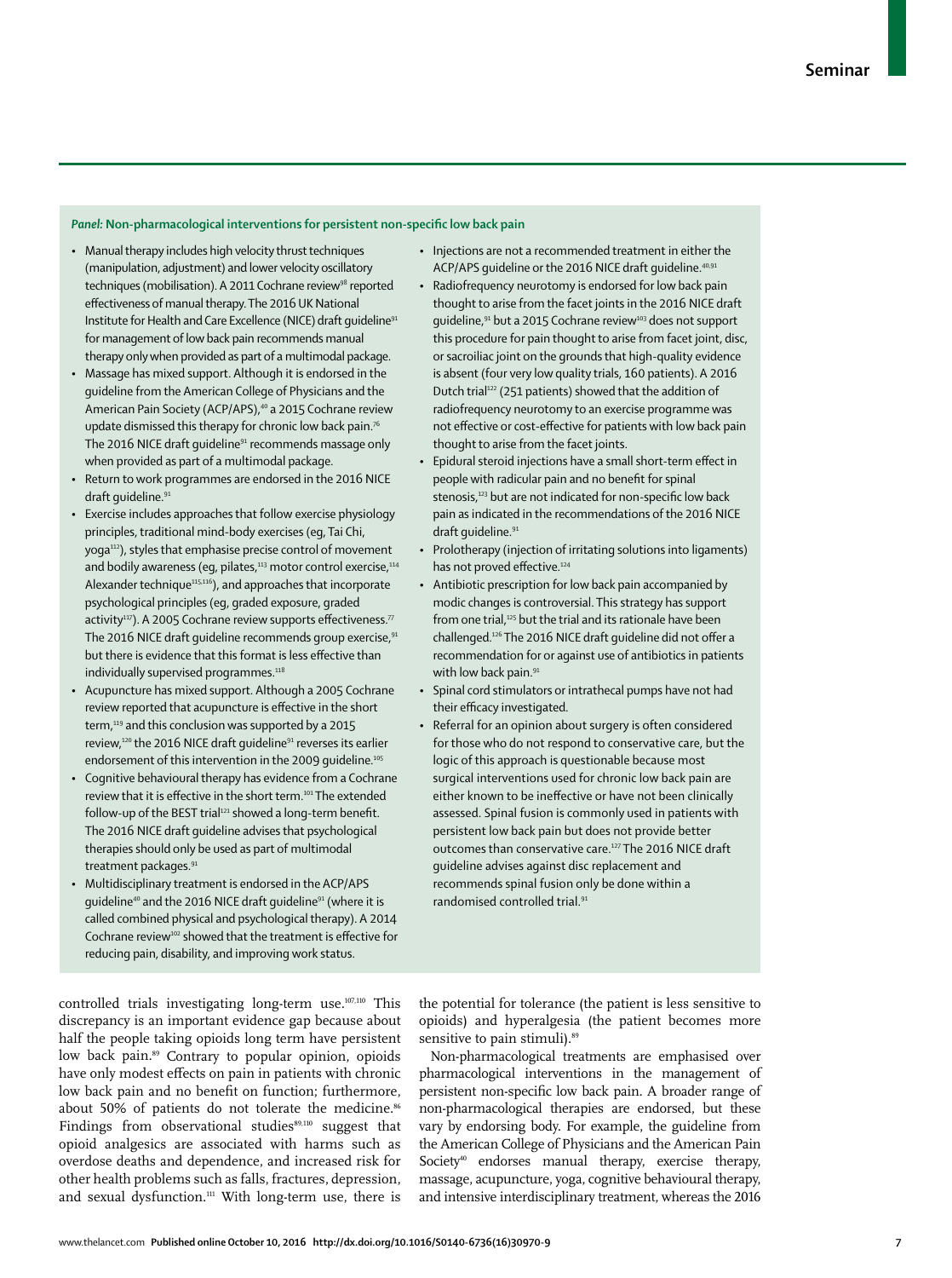#### *Panel:* Non-pharmacological interventions for persistent non-specific low back pain

- Manual therapy includes high velocity thrust techniques (manipulation, adjustment) and lower velocity oscillatory techniques (mobilisation). A 2011 Cochrane review<sup>98</sup> reported effectiveness of manual therapy. The 2016 UK National Institute for Health and Care Excellence (NICE) draft quideline<sup>91</sup> for management of low back pain recommends manual therapy only when provided as part of a multimodal package.
- Massage has mixed support. Although it is endorsed in the guideline from the American College of Physicians and the American Pain Society (ACP/APS),<sup>40</sup> a 2015 Cochrane review update dismissed this therapy for chronic low back pain.<sup>7</sup> The 2016 NICE draft quideline<sup>91</sup> recommends massage only when provided as part of a multimodal package.
- Return to work programmes are endorsed in the 2016 NICE draft guideline.<sup>91</sup>
- Exercise includes approaches that follow exercise physiology principles, traditional mind-body exercises (eg, Tai Chi, yoga<sup>112</sup>), styles that emphasise precise control of movement and bodily awareness (eg, pilates,<sup>113</sup> motor control exercise,<sup>114</sup> Alexander technique<sup>115,116</sup>), and approaches that incorporate psychological principles (eg, graded exposure, graded activity<sup>117</sup>). A 2005 Cochrane review supports effectiveness.<sup>77</sup> The 2016 NICE draft quideline recommends group exercise, <sup>91</sup> but there is evidence that this format is less effective than individually supervised programmes.<sup>118</sup>
- Acupuncture has mixed support. Although a 2005 Cochrane review reported that acupuncture is effective in the short term,<sup>119</sup> and this conclusion was supported by a 2015 review,<sup>120</sup> the 2016 NICE draft guideline<sup>91</sup> reverses its earlier endorsement of this intervention in the 2009 guideline.<sup>105</sup>
- Cognitive behavioural therapy has evidence from a Cochrane review that it is effective in the short term.<sup>101</sup> The extended follow-up of the BEST trial<sup>121</sup> showed a long-term benefit. The 2016 NICE draft guideline advises that psychological therapies should only be used as part of multimodal treatment packages.<sup>91</sup>
- Multidisciplinary treatment is endorsed in the ACP/APS guideline<sup>40</sup> and the 2016 NICE draft guideline<sup>91</sup> (where it is called combined physical and psychological therapy). A 2014 Cochrane review<sup>102</sup> showed that the treatment is effective for reducing pain, disability, and improving work status.

controlled trials investigating long-term use.<sup>107,110</sup> This discrepancy is an important evidence gap because about half the people taking opioids long term have persistent low back pain.<sup>89</sup> Contrary to popular opinion, opioids have only modest effects on pain in patients with chronic low back pain and no benefit on function; furthermore, about 50% of patients do not tolerate the medicine.<sup>86</sup> Findings from observational studies89,110 suggest that opioid analgesics are associated with harms such as overdose deaths and dependence, and increased risk for other health problems such as falls, fractures, depression, and sexual dysfunction.<sup>111</sup> With long-term use, there is

- Injections are not a recommended treatment in either the ACP/APS quideline or the 2016 NICE draft quideline.<sup>40,9</sup>
- Radiofrequency neurotomy is endorsed for low back pain thought to arise from the facet joints in the 2016 NICE draft guideline,<sup>91</sup> but a 2015 Cochrane review<sup>103</sup> does not support this procedure for pain thought to arise from facet joint, disc, or sacroiliac joint on the grounds that high-quality evidence is absent (four very low quality trials, 160 patients). A 2016 Dutch trial<sup>122</sup> (251 patients) showed that the addition of radiofrequency neurotomy to an exercise programme was not effective or cost-effective for patients with low back pain thought to arise from the facet joints.
- Epidural steroid injections have a small short-term effect in people with radicular pain and no benefit for spinal stenosis,<sup>123</sup> but are not indicated for non-specific low back pain as indicated in the recommendations of the 2016 NICE draft quideline.<sup>91</sup>
- Prolotherapy (injection of irritating solutions into ligaments) has not proved effective.<sup>124</sup>
- Antibiotic prescription for low back pain accompanied by modic changes is controversial. This strategy has support from one trial,<sup>125</sup> but the trial and its rationale have been challenged.<sup>126</sup> The 2016 NICE draft guideline did not offer a recommendation for or against use of antibiotics in patients with low back pain.<sup>91</sup>
- Spinal cord stimulators or intrathecal pumps have not had their efficacy investigated.
- Referral for an opinion about surgery is often considered for those who do not respond to conservative care, but the logic of this approach is questionable because most surgical interventions used for chronic low back pain are either known to be ineffective or have not been clinically assessed. Spinal fusion is commonly used in patients with persistent low back pain but does not provide better outcomes than conservative care.127 The 2016 NICE draft guideline advises against disc replacement and recommends spinal fusion only be done within a randomised controlled trial.<sup>9</sup>

the potential for tolerance (the patient is less sensitive to opioids) and hyperalgesia (the patient becomes more sensitive to pain stimuli).<sup>89</sup>

Non-pharmacological treatments are emphasised over pharmacological interventions in the management of persistent non-specific low back pain. A broader range of non-pharmacological therapies are endorsed, but these vary by endorsing body. For example, the guideline from the American College of Physicians and the American Pain Society<sup>40</sup> endorses manual therapy, exercise therapy, massage, acupuncture, yoga, cognitive behavioural therapy, and intensive interdisciplinary treatment, whereas the 2016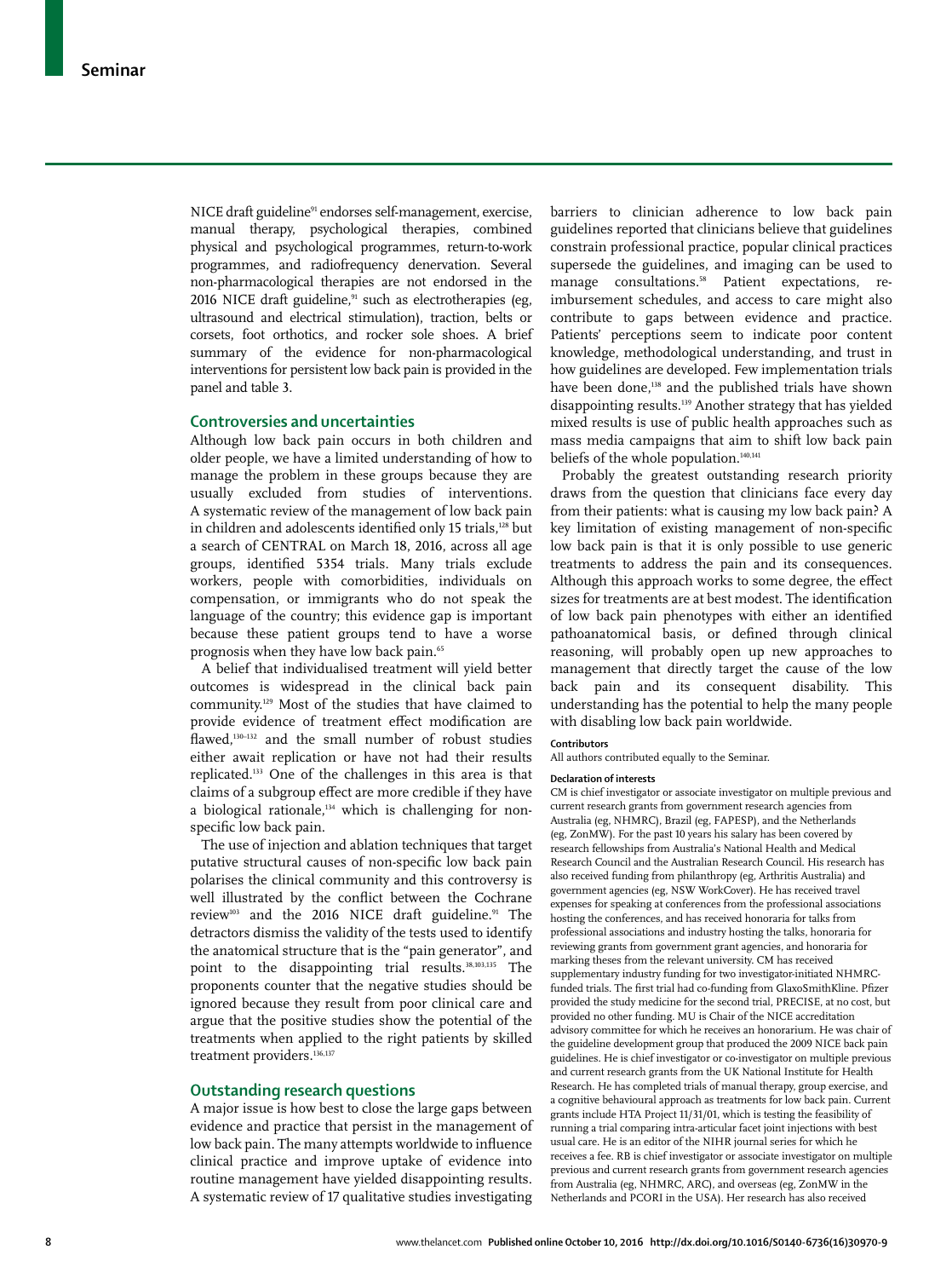NICE draft guideline<sup>91</sup> endorses self-management, exercise, manual therapy, psychological therapies, combined physical and psychological programmes, return-to-work programmes, and radiofrequency denervation. Several non-pharmacological therapies are not endorsed in the 2016 NICE draft guideline,<sup>91</sup> such as electrotherapies (eg, ultrasound and electrical stimulation), traction, belts or corsets, foot orthotics, and rocker sole shoes. A brief summary of the evidence for non-pharmacological interventions for persistent low back pain is provided in the panel and table 3.

## **Controversies and uncertainties**

Although low back pain occurs in both children and older people, we have a limited understanding of how to manage the problem in these groups because they are usually excluded from studies of interventions. A systematic review of the management of low back pain in children and adolescents identified only 15 trials,<sup>128</sup> but a search of CENTRAL on March 18, 2016, across all age groups, identified 5354 trials. Many trials exclude workers, people with comorbidities, individuals on compensation, or immigrants who do not speak the language of the country; this evidence gap is important because these patient groups tend to have a worse prognosis when they have low back pain.<sup>65</sup>

A belief that individualised treatment will yield better outcomes is widespread in the clinical back pain community.129 Most of the studies that have claimed to provide evidence of treatment effect modification are flawed,<sup>130-132</sup> and the small number of robust studies either await replication or have not had their results replicated.133 One of the challenges in this area is that claims of a subgroup effect are more credible if they have a biological rationale, $134$  which is challenging for nonspecific low back pain.

The use of injection and ablation techniques that target putative structural causes of non-specific low back pain polarises the clinical community and this controversy is well illustrated by the conflict between the Cochrane review<sup>103</sup> and the 2016 NICE draft guideline.<sup>91</sup> The detractors dismiss the validity of the tests used to identify the anatomical structure that is the "pain generator", and point to the disappointing trial results.<sup>38,103,135</sup> The proponents counter that the negative studies should be ignored because they result from poor clinical care and argue that the positive studies show the potential of the treatments when applied to the right patients by skilled treatment providers.<sup>136,137</sup>

#### **Outstanding research questions**

A major issue is how best to close the large gaps between evidence and practice that persist in the management of low back pain. The many attempts worldwide to influence clinical practice and improve uptake of evidence into routine management have yielded disappointing results. A systematic review of 17 qualitative studies investigating

barriers to clinician adherence to low back pain guidelines reported that clinicians believe that guidelines constrain professional practice, popular clinical practices supersede the guidelines, and imaging can be used to manage consultations.<sup>58</sup> Patient expectations, reimbursement schedules, and access to care might also contribute to gaps between evidence and practice. Patients' perceptions seem to indicate poor content knowledge, methodological understanding, and trust in how guidelines are developed. Few implementation trials have been done,<sup>138</sup> and the published trials have shown disappointing results.139 Another strategy that has yielded mixed results is use of public health approaches such as mass media campaigns that aim to shift low back pain beliefs of the whole population.<sup>140,141</sup>

Probably the greatest outstanding research priority draws from the question that clinicians face every day from their patients: what is causing my low back pain? A key limitation of existing management of non-specific low back pain is that it is only possible to use generic treatments to address the pain and its consequences. Although this approach works to some degree, the effect sizes for treatments are at best modest. The identification of low back pain phenotypes with either an identified pathoanatomical basis, or defined through clinical reasoning, will probably open up new approaches to management that directly target the cause of the low back pain and its consequent disability. This understanding has the potential to help the many people with disabling low back pain worldwide.

#### **Contributors**

All authors contributed equally to the Seminar.

#### **Declaration of interests**

CM is chief investigator or associate investigator on multiple previous and current research grants from government research agencies from Australia (eg, NHMRC), Brazil (eg, FAPESP), and the Netherlands (eg, ZonMW). For the past 10 years his salary has been covered by research fellowships from Australia's National Health and Medical Research Council and the Australian Research Council. His research has also received funding from philanthropy (eg, Arthritis Australia) and government agencies (eg, NSW WorkCover). He has received travel expenses for speaking at conferences from the professional associations hosting the conferences, and has received honoraria for talks from professional associations and industry hosting the talks, honoraria for reviewing grants from government grant agencies, and honoraria for marking theses from the relevant university. CM has received supplementary industry funding for two investigator-initiated NHMRCfunded trials. The first trial had co-funding from GlaxoSmithKline. Pfizer provided the study medicine for the second trial, PRECISE, at no cost, but provided no other funding. MU is Chair of the NICE accreditation advisory committee for which he receives an honorarium. He was chair of the guideline development group that produced the 2009 NICE back pain guidelines. He is chief investigator or co-investigator on multiple previous and current research grants from the UK National Institute for Health Research. He has completed trials of manual therapy, group exercise, and a cognitive behavioural approach as treatments for low back pain. Current grants include HTA Project 11/31/01, which is testing the feasibility of running a trial comparing intra-articular facet joint injections with best usual care. He is an editor of the NIHR journal series for which he receives a fee. RB is chief investigator or associate investigator on multiple previous and current research grants from government research agencies from Australia (eg, NHMRC, ARC), and overseas (eg, ZonMW in the Netherlands and PCORI in the USA). Her research has also received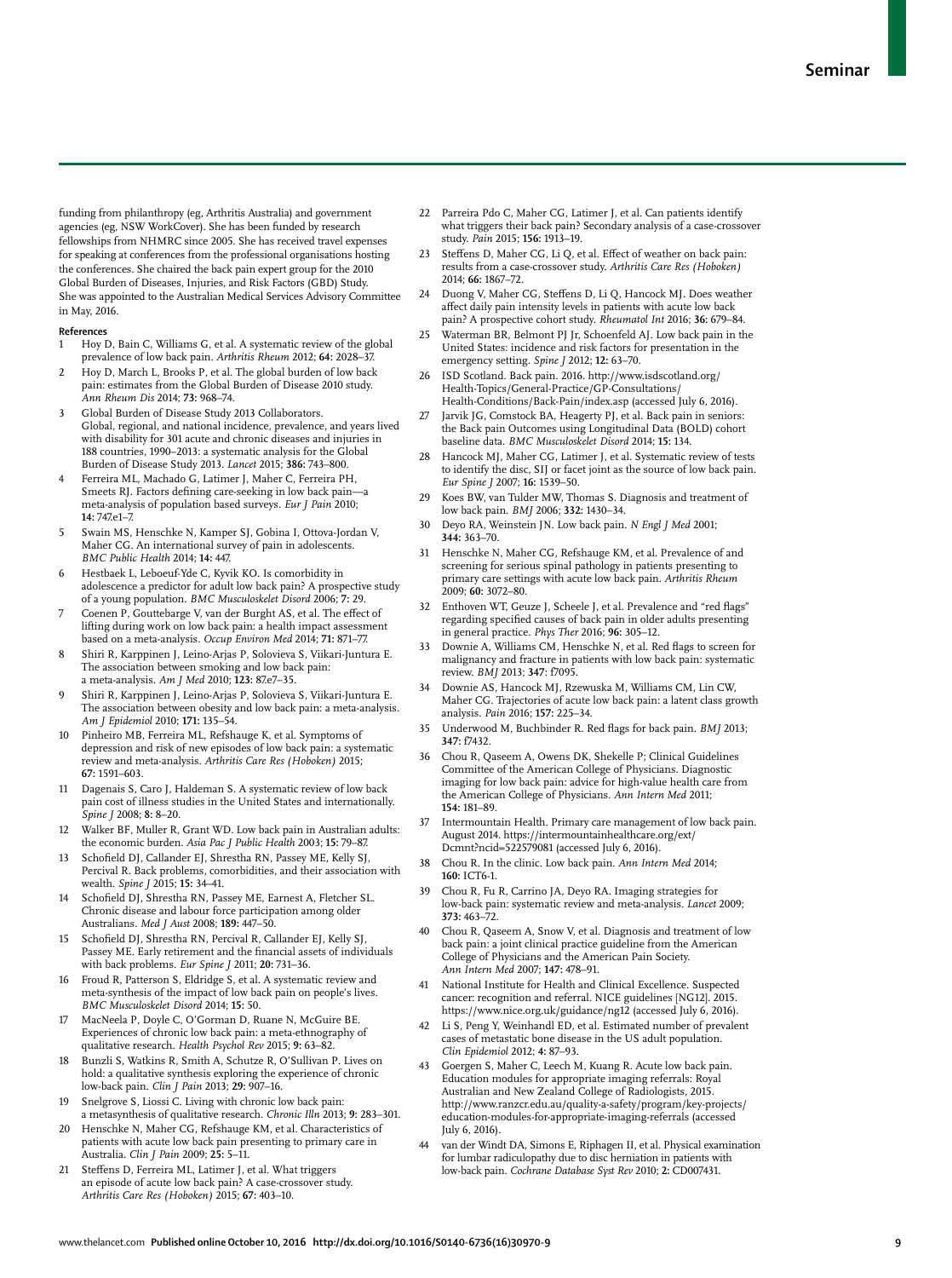funding from philanthropy (eg, Arthritis Australia) and government agencies (eg, NSW WorkCover). She has been funded by research fellowships from NHMRC since 2005. She has received travel expenses for speaking at conferences from the professional organisations hosting the conferences. She chaired the back pain expert group for the 2010 Global Burden of Diseases, Injuries, and Risk Factors (GBD) Study. She was appointed to the Australian Medical Services Advisory Committee in May, 2016.

#### **References**

- 1 Hoy D, Bain C, Williams G, et al. A systematic review of the global prevalence of low back pain. *Arthritis Rheum* 2012; **64:** 2028–37.
- 2 Hoy D, March L, Brooks P, et al. The global burden of low back pain: estimates from the Global Burden of Disease 2010 study. *Ann Rheum Dis* 2014; **73:** 968–74.
- Global Burden of Disease Study 2013 Collaborators. Global, regional, and national incidence, prevalence, and years lived with disability for 301 acute and chronic diseases and injuries in 188 countries, 1990–2013: a systematic analysis for the Global Burden of Disease Study 2013. *Lancet* 2015; **386:** 743–800.
- 4 Ferreira ML, Machado G, Latimer J, Maher C, Ferreira PH, Smeets RJ. Factors defining care-seeking in low back pain-a meta-analysis of population based surveys. *Eur J Pain* 2010; **14:** 747.e1–7.
- 5 Swain MS, Henschke N, Kamper SJ, Gobina I, Ottova-Jordan V, Maher CG. An international survey of pain in adolescents. *BMC Public Health* 2014; **14:** 447.
- Hestbaek L, Leboeuf-Yde C, Kyvik KO. Is comorbidity in adolescence a predictor for adult low back pain? A prospective study of a young population. *BMC Musculoskelet Disord* 2006; **7:** 29.
- Coenen P, Gouttebarge V, van der Burght AS, et al. The effect of lifting during work on low back pain: a health impact assessment based on a meta-analysis. *Occup Environ Med* 2014; **71:** 871–77.
- 8 Shiri R, Karppinen J, Leino-Arjas P, Solovieva S, Viikari-Juntura E. The association between smoking and low back pain: a meta-analysis. *Am J Med* 2010; **123:** 87.e7–35.
- 9 Shiri R, Karppinen J, Leino-Arjas P, Solovieva S, Viikari-Juntura E. The association between obesity and low back pain: a meta-analysis. *Am J Epidemiol* 2010; **171:** 135–54.
- 10 Pinheiro MB, Ferreira ML, Refshauge K, et al. Symptoms of depression and risk of new episodes of low back pain: a systematic review and meta-analysis. *Arthritis Care Res (Hoboken)* 2015; **67:** 1591–603.
- 11 Dagenais S, Caro J, Haldeman S. A systematic review of low back pain cost of illness studies in the United States and internationally. *Spine J* 2008; **8:** 8–20.
- 12 Walker BF, Muller R, Grant WD. Low back pain in Australian adults: the economic burden. *Asia Pac J Public Health* 2003; **15:** 79–87.
- 13 Schofield DJ, Callander EJ, Shrestha RN, Passey ME, Kelly SJ, Percival R. Back problems, comorbidities, and their association with wealth. *Spine J* 2015; **15:** 34–41.
- Schofield DJ, Shrestha RN, Passey ME, Earnest A, Fletcher SL. Chronic disease and labour force participation among older Australians. *Med J Aust* 2008; **189:** 447–50.
- 15 Schofield DJ, Shrestha RN, Percival R, Callander EL Kelly SJ, Passey ME. Early retirement and the financial assets of individuals with back problems. *Eur Spine J* 2011; **20:** 731–36.
- Froud R, Patterson S, Eldridge S, et al. A systematic review and meta-synthesis of the impact of low back pain on people's lives. *BMC Musculoskelet Disord* 2014; **15:** 50.
- 17 MacNeela P, Doyle C, O'Gorman D, Ruane N, McGuire BE. Experiences of chronic low back pain: a meta-ethnography of qualitative research. *Health Psychol Rev* 2015; **9:** 63–82.
- 18 Bunzli S, Watkins R, Smith A, Schutze R, O'Sullivan P. Lives on hold: a qualitative synthesis exploring the experience of chronic low-back pain. *Clin J Pain* 2013; **29:** 907–16.
- 19 Snelgrove S, Liossi C. Living with chronic low back pain: a metasynthesis of qualitative research. *Chronic Illn* 2013; **9:** 283–301.
- 20 Henschke N, Maher CG, Refshauge KM, et al. Characteristics of patients with acute low back pain presenting to primary care in Australia. *Clin J Pain* 2009; **25:** 5–11.
- 21 Steffens D, Ferreira ML, Latimer J, et al. What triggers an episode of acute low back pain? A case-crossover study. *Arthritis Care Res (Hoboken)* 2015; **67:** 403–10.
- 22 Parreira Pdo C, Maher CG, Latimer J, et al. Can patients identify what triggers their back pain? Secondary analysis of a case-crossover study. *Pain* 2015; **156:** 1913–19.
- 23 Steffens D, Maher CG, Li Q, et al. Effect of weather on back pain: results from a case-crossover study. *Arthritis Care Res (Hoboken)* 2014; **66:** 1867–72.
- 24 Duong V, Maher CG, Steffens D, Li Q, Hancock MJ. Does weather affect daily pain intensity levels in patients with acute low back pain? A prospective cohort study. *Rheumatol Int* 2016; **36:** 679–84.
- 25 Waterman BR, Belmont PJ Jr, Schoenfeld AJ. Low back pain in the United States: incidence and risk factors for presentation in the emergency setting. *Spine J* 2012; **12:** 63–70.
- 26 ISD Scotland. Back pain. 2016. http://www.isdscotland.org/ Health-Topics/General-Practice/GP-Consultations/ Health-Conditions/Back-Pain/index.asp (accessed July 6, 2016).
- Jarvik JG, Comstock BA, Heagerty PJ, et al. Back pain in seniors: the Back pain Outcomes using Longitudinal Data (BOLD) cohort baseline data. *BMC Musculoskelet Disord* 2014; **15:** 134.
- Hancock MJ, Maher CG, Latimer J, et al. Systematic review of tests to identify the disc, SIJ or facet joint as the source of low back pain. *Eur Spine J* 2007; **16:** 1539–50.
- 29 Koes BW, van Tulder MW, Thomas S. Diagnosis and treatment of low back pain. *BMJ* 2006; **332:** 1430–34.
- 30 Deyo RA, Weinstein JN. Low back pain. *N Engl J Med* 2001; **344:** 363–70.
- 31 Henschke N, Maher CG, Refshauge KM, et al. Prevalence of and screening for serious spinal pathology in patients presenting to primary care settings with acute low back pain. *Arthritis Rheum* 2009; **60:** 3072–80.
- 32 Enthoven WT, Geuze J, Scheele J, et al. Prevalence and "red flags" regarding specified causes of back pain in older adults presenting in general practice. *Phys Ther* 2016; **96:** 305–12.
- Downie A, Williams CM, Henschke N, et al. Red flags to screen for malignancy and fracture in patients with low back pain: systematic review. *BMJ* 2013; **347**: f7095.
- 34 Downie AS, Hancock MJ, Rzewuska M, Williams CM, Lin CW, Maher CG. Trajectories of acute low back pain: a latent class growth analysis. *Pain* 2016; **157:** 225–34.
- 35 Underwood M, Buchbinder R. Red flags for back pain. *BMJ* 2013; **347:** f7432.
- 36 Chou R, Qaseem A, Owens DK, Shekelle P; Clinical Guidelines Committee of the American College of Physicians. Diagnostic imaging for low back pain: advice for high-value health care from the American College of Physicians. *Ann Intern Med* 2011; **154:** 181–89.
- Intermountain Health. Primary care management of low back pain. August 2014. https://intermountainhealthcare.org/ext/ Dcmnt?ncid=522579081 (accessed July 6, 2016).
- 38 Chou R. In the clinic. Low back pain. *Ann Intern Med* 2014; **160:** ICT6-1.
- 39 Chou R, Fu R, Carrino JA, Deyo RA. Imaging strategies for low-back pain: systematic review and meta-analysis. *Lancet* 2009; **373:** 463–72.
- Chou R, Qaseem A, Snow V, et al. Diagnosis and treatment of low back pain: a joint clinical practice guideline from the American College of Physicians and the American Pain Society. *Ann Intern Med* 2007; **147:** 478–91.
- 41 National Institute for Health and Clinical Excellence. Suspected cancer: recognition and referral. NICE guidelines [NG12]. 2015. https://www.nice.org.uk/guidance/ng12 (accessed July 6, 2016).
- Li S, Peng Y, Weinhandl ED, et al. Estimated number of prevalent cases of metastatic bone disease in the US adult population. *Clin Epidemiol* 2012; **4:** 87–93.
- 43 Goergen S, Maher C, Leech M, Kuang R. Acute low back pain. Education modules for appropriate imaging referrals: Royal Australian and New Zealand College of Radiologists, 2015. http://www.ranzcr.edu.au/quality-a-safety/program/key-projects/ education-modules-for-appropriate-imaging-referrals (accessed July 6, 2016).
- 44 van der Windt DA, Simons E, Riphagen II, et al. Physical examination for lumbar radiculopathy due to disc herniation in patients with low-back pain. *Cochrane Database Syst Rev* 2010; **2:** CD007431.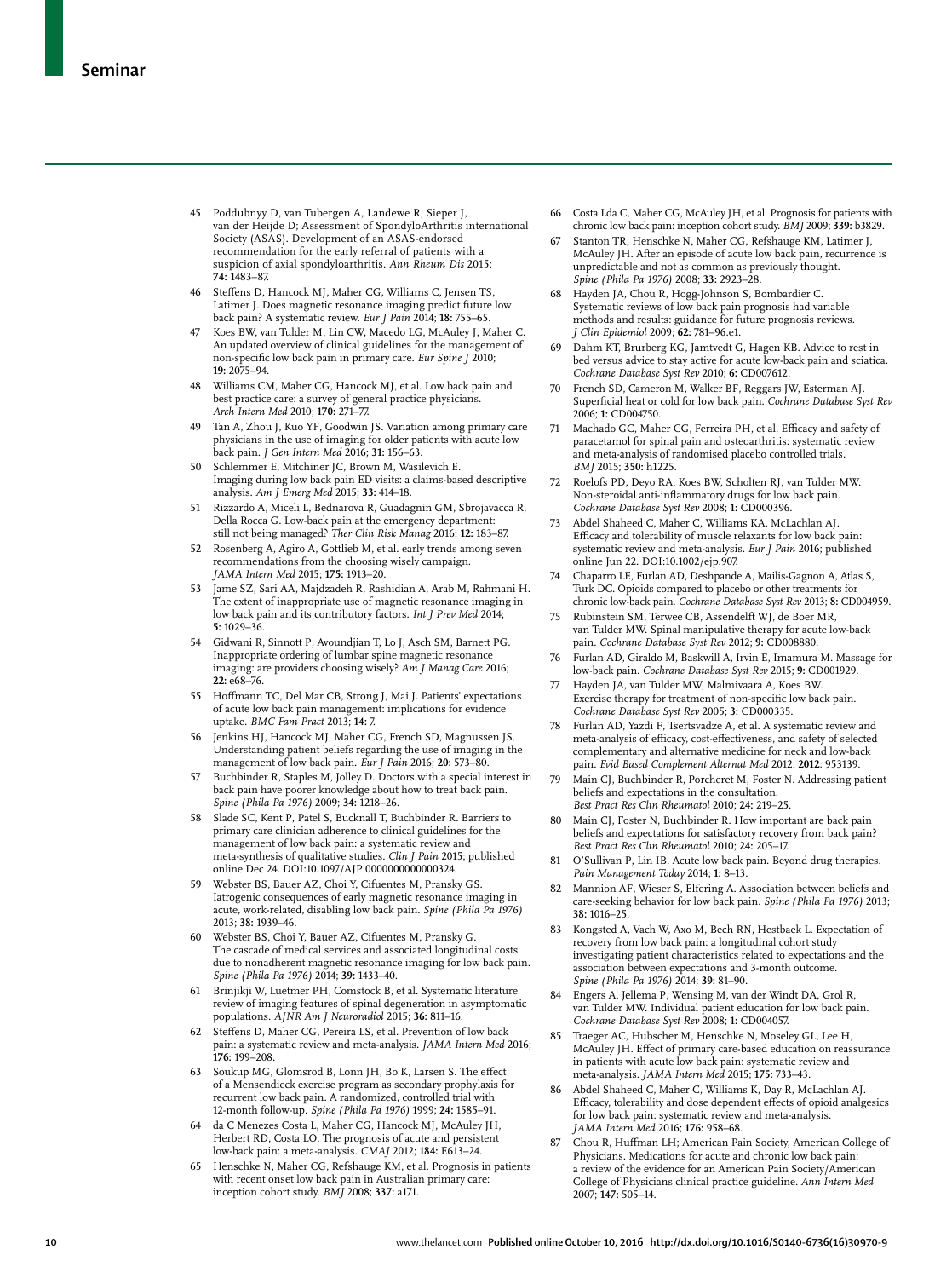- 45 Poddubnyy D, van Tubergen A, Landewe R, Sieper J, van der Heijde D; Assessment of SpondyloArthritis international Society (ASAS). Development of an ASAS-endorsed recommendation for the early referral of patients with a suspicion of axial spondyloarthritis. *Ann Rheum Dis* 2015; **74:** 1483–87.
- 46 Steffens D, Hancock MJ, Maher CG, Williams C, Jensen TS, Latimer J. Does magnetic resonance imaging predict future low back pain? A systematic review. *Eur J Pain* 2014; **18:** 755–65.
- 47 Koes BW, van Tulder M, Lin CW, Macedo LG, McAuley J, Maher C. An updated overview of clinical guidelines for the management of non-specific low back pain in primary care. *Eur Spine* J 2010; **19:** 2075–94.
- 48 Williams CM, Maher CG, Hancock MJ, et al. Low back pain and best practice care: a survey of general practice physicians. *Arch Intern Med* 2010; **170:** 271–77.
- Tan A, Zhou J, Kuo YF, Goodwin JS. Variation among primary care physicians in the use of imaging for older patients with acute low back pain. *J Gen Intern Med* 2016; **31:** 156–63.
- 50 Schlemmer E, Mitchiner JC, Brown M, Wasilevich E. Imaging during low back pain ED visits: a claims-based descriptive analysis. *Am J Emerg Med* 2015; **33:** 414–18.
- 51 Rizzardo A, Miceli L, Bednarova R, Guadagnin GM, Sbrojavacca R, Della Rocca G. Low-back pain at the emergency department: still not being managed? *Ther Clin Risk Manag* 2016; **12:** 183–87.
- 52 Rosenberg A, Agiro A, Gottlieb M, et al. early trends among seven recommendations from the choosing wisely campaign. *JAMA Intern Med* 2015; **175:** 1913–20.
- 53 Jame SZ, Sari AA, Majdzadeh R, Rashidian A, Arab M, Rahmani H. The extent of inappropriate use of magnetic resonance imaging in low back pain and its contributory factors. *Int J Prev Med* 2014; **5:** 1029–36.
- 54 Gidwani R, Sinnott P, Avoundjian T, Lo J, Asch SM, Barnett PG. Inappropriate ordering of lumbar spine magnetic resonance imaging: are providers choosing wisely? *Am J Manag Care* 2016; **22:** e68–76.
- 55 Hoffmann TC, Del Mar CB, Strong J, Mai J. Patients' expectations of acute low back pain management: implications for evidence uptake. *BMC Fam Pract* 2013; **14:** 7.
- 56 Jenkins HJ, Hancock MJ, Maher CG, French SD, Magnussen JS. Understanding patient beliefs regarding the use of imaging in the management of low back pain. *Eur J Pain* 2016; **20:** 573–80.
- 57 Buchbinder R, Staples M, Jolley D. Doctors with a special interest in back pain have poorer knowledge about how to treat back pain. *Spine (Phila Pa 1976)* 2009; **34:** 1218–26.
- 58 Slade SC, Kent P, Patel S, Bucknall T, Buchbinder R. Barriers to primary care clinician adherence to clinical guidelines for the management of low back pain: a systematic review and meta-synthesis of qualitative studies. *Clin J Pain* 2015; published online Dec 24. DOI:10.1097/AJP.0000000000000324.
- 59 Webster BS, Bauer AZ, Choi Y, Cifuentes M, Pransky GS. Iatrogenic consequences of early magnetic resonance imaging in acute, work-related, disabling low back pain. *Spine (Phila Pa 1976)* 2013; **38:** 1939–46.
- 60 Webster BS, Choi Y, Bauer AZ, Cifuentes M, Pransky G. The cascade of medical services and associated longitudinal costs due to nonadherent magnetic resonance imaging for low back pain. *Spine (Phila Pa 1976)* 2014; **39:** 1433–40.
- 61 Brinjikji W, Luetmer PH, Comstock B, et al. Systematic literature review of imaging features of spinal degeneration in asymptomatic populations. *AJNR Am J Neuroradiol* 2015; **36:** 811–16.
- 62 Steffens D, Maher CG, Pereira LS, et al. Prevention of low back pain: a systematic review and meta-analysis. *JAMA Intern Med* 2016; **176:** 199–208.
- 63 Soukup MG, Glomsrod B, Lonn JH, Bo K, Larsen S. The effect of a Mensendieck exercise program as secondary prophylaxis for recurrent low back pain. A randomized, controlled trial with 12-month follow-up. *Spine (Phila Pa 1976)* 1999; **24:** 1585–91.
- 64 da C Menezes Costa L, Maher CG, Hancock MJ, McAuley JH, Herbert RD, Costa LO. The prognosis of acute and persistent low-back pain: a meta-analysis. *CMAJ* 2012; **184:** E613–24.
- 65 Henschke N, Maher CG, Refshauge KM, et al. Prognosis in patients with recent onset low back pain in Australian primary care: inception cohort study. *BMJ* 2008; **337:** a171.
- 66 Costa Lda C, Maher CG, McAuley JH, et al. Prognosis for patients with chronic low back pain: inception cohort study. *BMJ* 2009; **339:** b3829.
- 67 Stanton TR, Henschke N, Maher CG, Refshauge KM, Latimer J, McAuley JH. After an episode of acute low back pain, recurrence is unpredictable and not as common as previously thought. *Spine (Phila Pa 1976)* 2008; **33:** 2923–28.
- 68 Hayden JA, Chou R, Hogg-Johnson S, Bombardier C. Systematic reviews of low back pain prognosis had variable methods and results: guidance for future prognosis reviews. *J Clin Epidemiol* 2009; **62:** 781–96.e1.
- 69 Dahm KT, Brurberg KG, Jamtvedt G, Hagen KB. Advice to rest in bed versus advice to stay active for acute low-back pain and sciatica. *Cochrane Database Syst Rev* 2010; **6:** CD007612.
- French SD, Cameron M, Walker BF, Reggars JW, Esterman AJ. Superficial heat or cold for low back pain. *Cochrane Database Syst Rev* 2006; **1:** CD004750.
- 71 Machado GC, Maher CG, Ferreira PH, et al. Efficacy and safety of paracetamol for spinal pain and osteoarthritis: systematic review and meta-analysis of randomised placebo controlled trials. *BMJ* 2015; **350:** h1225.
- 72 Roelofs PD, Deyo RA, Koes BW, Scholten RJ, van Tulder MW. Non-steroidal anti-inflammatory drugs for low back pain. *Cochrane Database Syst Rev* 2008; **1:** CD000396.
- 73 Abdel Shaheed C, Maher C, Williams KA, McLachlan AJ. Efficacy and tolerability of muscle relaxants for low back pain: systematic review and meta-analysis. *Eur J Pain* 2016; published online Jun 22. DOI:10.1002/ejp.907.
- 74 Chaparro LE, Furlan AD, Deshpande A, Mailis-Gagnon A, Atlas S, Turk DC. Opioids compared to placebo or other treatments for chronic low-back pain. *Cochrane Database Syst Rev* 2013; **8:** CD004959.
- Rubinstein SM, Terwee CB, Assendelft WJ, de Boer MR, van Tulder MW. Spinal manipulative therapy for acute low-back pain. *Cochrane Database Syst Rev* 2012; **9:** CD008880.
- 76 Furlan AD, Giraldo M, Baskwill A, Irvin E, Imamura M. Massage for low-back pain. *Cochrane Database Syst Rev* 2015; **9:** CD001929.
- Hayden JA, van Tulder MW, Malmivaara A, Koes BW. Exercise therapy for treatment of non-specific low back pain. *Cochrane Database Syst Rev* 2005; **3:** CD000335.
- 78 Furlan AD, Yazdi F, Tsertsvadze A, et al. A systematic review and meta-analysis of efficacy, cost-effectiveness, and safety of selected complementary and alternative medicine for neck and low-back pain. *Evid Based Complement Alternat Med* 2012; **2012**: 953139.
- Main CJ, Buchbinder R, Porcheret M, Foster N. Addressing patient beliefs and expectations in the consultation. *Best Pract Res Clin Rheumatol* 2010; **24:** 219–25.
- 80 Main CJ, Foster N, Buchbinder R. How important are back pain beliefs and expectations for satisfactory recovery from back pain? *Best Pract Res Clin Rheumatol* 2010; **24:** 205–17.
- O'Sullivan P, Lin IB. Acute low back pain. Beyond drug therapies. *Pain Management Today* 2014; **1:** 8–13.
- 82 Mannion AF, Wieser S, Elfering A. Association between beliefs and care-seeking behavior for low back pain. *Spine (Phila Pa 1976)* 2013; **38:** 1016–25.
- 83 Kongsted A, Vach W, Axo M, Bech RN, Hestbaek L. Expectation of recovery from low back pain: a longitudinal cohort study investigating patient characteristics related to expectations and the association between expectations and 3-month outcome. *Spine (Phila Pa 1976)* 2014; **39:** 81–90.
- 84 Engers A, Jellema P, Wensing M, van der Windt DA, Grol R, van Tulder MW. Individual patient education for low back pain. *Cochrane Database Syst Rev* 2008; **1:** CD004057.
- Traeger AC, Hubscher M, Henschke N, Moseley GL, Lee H, McAuley JH. Effect of primary care-based education on reassurance in patients with acute low back pain: systematic review and meta-analysis. *JAMA Intern Med* 2015; **175:** 733–43.
- 86 Abdel Shaheed C, Maher C, Williams K, Day R, McLachlan AJ. Efficacy, tolerability and dose dependent effects of opioid analgesics for low back pain: systematic review and meta-analysis. *JAMA Intern Med* 2016; **176:** 958–68.
- 87 Chou R, Huffman LH; American Pain Society, American College of Physicians. Medications for acute and chronic low back pain: a review of the evidence for an American Pain Society/American College of Physicians clinical practice guideline. *Ann Intern Med* 2007; **147:** 505–14.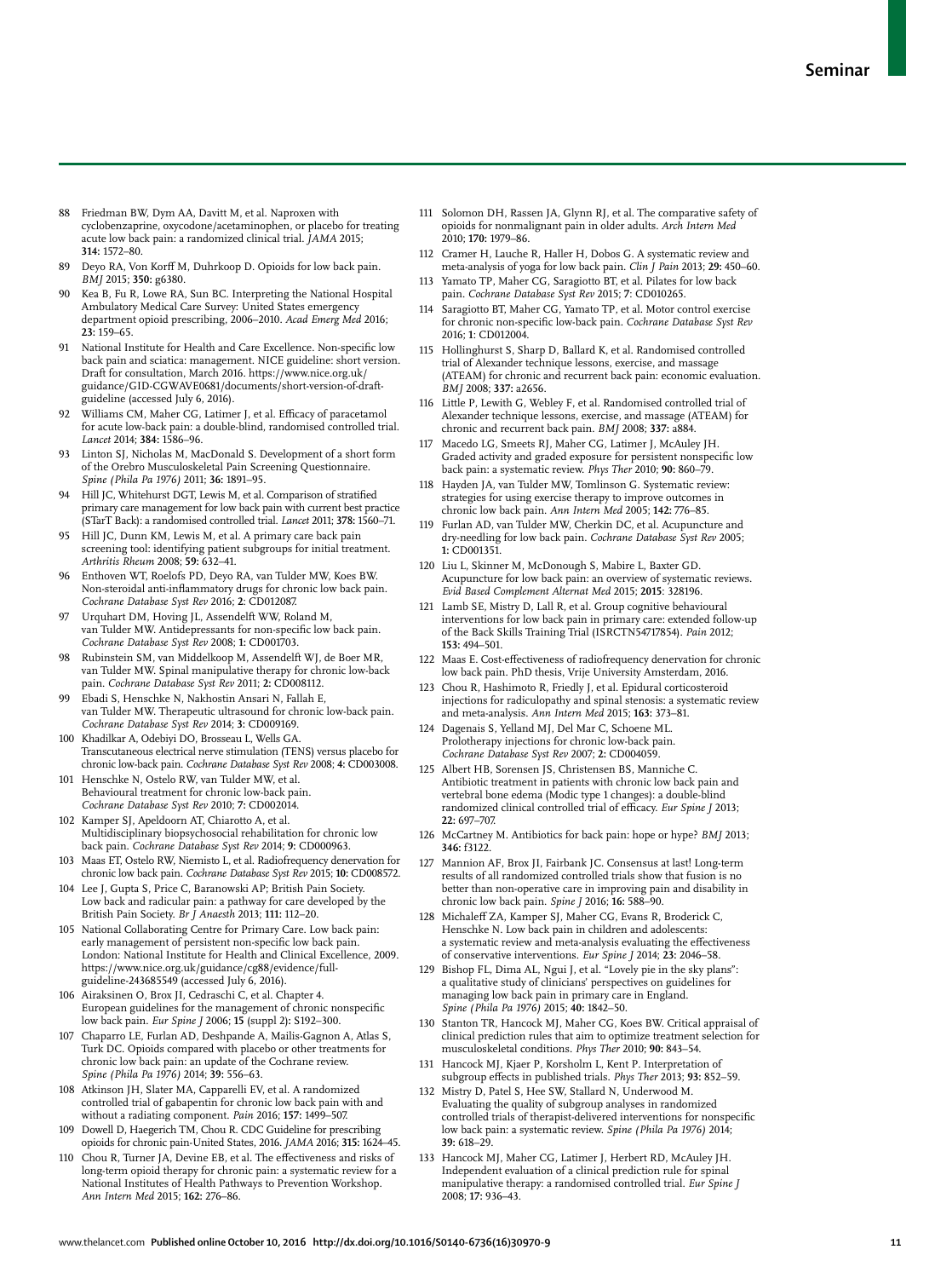- 88 Friedman BW, Dym AA, Davitt M, et al. Naproxen with cyclobenzaprine, oxycodone/acetaminophen, or placebo for treating acute low back pain: a randomized clinical trial. *JAMA* 2015; **314:** 1572–80.
- 89 Deyo RA, Von Korff M, Duhrkoop D. Opioids for low back pain. *BMJ* 2015; **350:** g6380.
- 90 Kea B, Fu R, Lowe RA, Sun BC. Interpreting the National Hospital Ambulatory Medical Care Survey: United States emergency department opioid prescribing, 2006–2010. *Acad Emerg Med* 2016; **23:** 159–65.
- 91 National Institute for Health and Care Excellence. Non-specific low back pain and sciatica: management. NICE guideline: short version. Draft for consultation, March 2016. https://www.nice.org.uk/ guidance/GID-CGWAVE0681/documents/short-version-of-draftguideline (accessed July 6, 2016).
- Williams CM, Maher CG, Latimer J, et al. Efficacy of paracetamol for acute low-back pain: a double-blind, randomised controlled trial. *Lancet* 2014; **384:** 1586–96.
- Linton SJ, Nicholas M, MacDonald S. Development of a short form of the Orebro Musculoskeletal Pain Screening Questionnaire. *Spine (Phila Pa 1976)* 2011; **36:** 1891–95.
- 94 Hill JC, Whitehurst DGT, Lewis M, et al. Comparison of stratified primary care management for low back pain with current best practice (STarT Back): a randomised controlled trial. *Lancet* 2011; **378:** 1560–71.
- 95 Hill JC, Dunn KM, Lewis M, et al. A primary care back pain screening tool: identifying patient subgroups for initial treatment. *Arthritis Rheum* 2008; **59:** 632–41.
- 96 Enthoven WT, Roelofs PD, Deyo RA, van Tulder MW, Koes BW. Non-steroidal anti-inflammatory drugs for chronic low back pain.<br>*Cochrane Database Syst Rev* 2016; **2**: CD012087.
- 97 Urquhart DM, Hoving JL, Assendelft WW, Roland M, van Tulder MW. Antidepressants for non-specific low back pain. *Cochrane Database Syst Rev* 2008; **1:** CD001703.
- 98 Rubinstein SM, van Middelkoop M, Assendelft WJ, de Boer MR, van Tulder MW. Spinal manipulative therapy for chronic low-back pain. *Cochrane Database Syst Rev* 2011; **2:** CD008112.
- Ebadi S, Henschke N, Nakhostin Ansari N, Fallah E, van Tulder MW. Therapeutic ultrasound for chronic low-back pain. *Cochrane Database Syst Rev* 2014; **3:** CD009169.
- 100 Khadilkar A, Odebiyi DO, Brosseau L, Wells GA. Transcutaneous electrical nerve stimulation (TENS) versus placebo for chronic low-back pain. *Cochrane Database Syst Rev* 2008; **4:** CD003008.
- 101 Henschke N, Ostelo RW, van Tulder MW, et al. Behavioural treatment for chronic low-back pain. *Cochrane Database Syst Rev* 2010; **7:** CD002014.
- 102 Kamper SJ, Apeldoorn AT, Chiarotto A, et al. Multidisciplinary biopsychosocial rehabilitation for chronic low back pain. *Cochrane Database Syst Rev* 2014; **9:** CD000963.
- 103 Maas ET, Ostelo RW, Niemisto L, et al. Radiofrequency denervation for chronic low back pain. *Cochrane Database Syst Rev* 2015; **10:** CD008572.
- 104 Lee J, Gupta S, Price C, Baranowski AP; British Pain Society. Low back and radicular pain: a pathway for care developed by the British Pain Society. *Br J Anaesth* 2013; **111:** 112–20.
- 105 National Collaborating Centre for Primary Care. Low back pain: early management of persistent non-specific low back pain London: National Institute for Health and Clinical Excellence, 2009. https://www.nice.org.uk/guidance/cg88/evidence/fullguideline-243685549 (accessed July 6, 2016).
- 106 Airaksinen O, Brox JI, Cedraschi C, et al. Chapter 4. European guidelines for the management of chronic nonspecific low back pain. *Eur Spine J* 2006; **15** (suppl 2)**:** S192–300.
- 107 Chaparro LE, Furlan AD, Deshpande A, Mailis-Gagnon A, Atlas S, Turk DC. Opioids compared with placebo or other treatments for chronic low back pain: an update of the Cochrane review. *Spine (Phila Pa 1976)* 2014; **39:** 556–63.
- 108 Atkinson JH, Slater MA, Capparelli EV, et al. A randomized controlled trial of gabapentin for chronic low back pain with and without a radiating component. *Pain* 2016; **157:** 1499–507.
- 109 Dowell D, Haegerich TM, Chou R. CDC Guideline for prescribing opioids for chronic pain-United States, 2016. *JAMA* 2016; **315:** 1624–45.
- 110 Chou R, Turner JA, Devine EB, et al. The effectiveness and risks of long-term opioid therapy for chronic pain: a systematic review for a National Institutes of Health Pathways to Prevention Workshop. *Ann Intern Med* 2015; **162:** 276–86.
- 111 Solomon DH, Rassen JA, Glynn RJ, et al. The comparative safety of opioids for nonmalignant pain in older adults. *Arch Intern Med* 2010; **170:** 1979–86.
- 112 Cramer H, Lauche R, Haller H, Dobos G. A systematic review and meta-analysis of yoga for low back pain. *Clin J Pain* 2013; **29:** 450–60.
- 113 Yamato TP, Maher CG, Saragiotto BT, et al. Pilates for low back pain. *Cochrane Database Syst Rev* 2015; **7**: CD010265.
- 114 Saragiotto BT, Maher CG, Yamato TP, et al. Motor control exercise for chronic non-specific low-back pain. *Cochrane Database Syst Rev* 2016; **1**: CD012004.
- 115 Hollinghurst S, Sharp D, Ballard K, et al. Randomised controlled trial of Alexander technique lessons, exercise, and massage (ATEAM) for chronic and recurrent back pain: economic evaluation. *BMJ* 2008; **337:** a2656.
- 116 Little P, Lewith G, Webley F, et al. Randomised controlled trial of Alexander technique lessons, exercise, and massage (ATEAM) for chronic and recurrent back pain. *BMJ* 2008; **337:** a884.
- 117 Macedo LG, Smeets RJ, Maher CG, Latimer J, McAuley JH. Graded activity and graded exposure for persistent nonspecific low back pain: a systematic review. *Phys Ther* 2010; **90:** 860–79.
- 118 Hayden JA, van Tulder MW, Tomlinson G. Systematic review: strategies for using exercise therapy to improve outcomes in chronic low back pain. *Ann Intern Med* 2005; **142:** 776–85.
- 119 Furlan AD, van Tulder MW, Cherkin DC, et al. Acupuncture and dry-needling for low back pain. *Cochrane Database Syst Rev* 2005; **1:** CD001351.
- 120 Liu L, Skinner M, McDonough S, Mabire L, Baxter GD. Acupuncture for low back pain: an overview of systematic reviews. *Evid Based Complement Alternat Med* 2015; **2015**: 328196.
- 121 Lamb SE, Mistry D, Lall R, et al. Group cognitive behavioural interventions for low back pain in primary care: extended follow-up of the Back Skills Training Trial (ISRCTN54717854). *Pain* 2012; **153:** 494–501.
- 122 Maas E. Cost-effectiveness of radiofrequency denervation for chronic low back pain. PhD thesis, Vrije University Amsterdam, 2016.
- 123 Chou R, Hashimoto R, Friedly J, et al. Epidural corticosteroid injections for radiculopathy and spinal stenosis: a systematic review and meta-analysis. *Ann Intern Med* 2015; **163:** 373–81.
- 124 Dagenais S, Yelland MJ, Del Mar C, Schoene ML. Prolotherapy injections for chronic low-back pain. *Cochrane Database Syst Rev* 2007; **2:** CD004059.
- 125 Albert HB, Sorensen JS, Christensen BS, Manniche C. Antibiotic treatment in patients with chronic low back pain and vertebral bone edema (Modic type 1 changes): a double-blind randomized clinical controlled trial of efficacy. *Eur Spine J* 2013; **22:** 697–707.
- 126 McCartney M. Antibiotics for back pain: hope or hype? *BMJ* 2013; **346:** f3122.
- 127 Mannion AF, Brox JI, Fairbank JC. Consensus at last! Long-term results of all randomized controlled trials show that fusion is no better than non-operative care in improving pain and disability in chronic low back pain. *Spine J* 2016; **16:** 588–90.
- 128 Michaleff ZA, Kamper SJ, Maher CG, Evans R, Broderick C, Henschke N. Low back pain in children and adolescents: a systematic review and meta-analysis evaluating the effectiveness of conservative interventions. *Eur Spine J* 2014; **23:** 2046–58.
- 129 Bishop FL, Dima AL, Ngui J, et al. "Lovely pie in the sky plans": a qualitative study of clinicians' perspectives on guidelines for managing low back pain in primary care in England. *Spine (Phila Pa 1976)* 2015; **40:** 1842–50.
- 130 Stanton TR, Hancock MJ, Maher CG, Koes BW. Critical appraisal of clinical prediction rules that aim to optimize treatment selection for musculoskeletal conditions. *Phys Ther* 2010; **90:** 843–54.
- 131 Hancock MJ, Kjaer P, Korsholm L, Kent P. Interpretation of subgroup effects in published trials. *Phys Ther* 2013; 93: 852-59.
- 132 Mistry D, Patel S, Hee SW, Stallard N, Underwood M. Evaluating the quality of subgroup analyses in randomized controlled trials of therapist-delivered interventions for nonspecific low back pain: a systematic review. *Spine (Phila Pa 1976)* 2014; **39:** 618–29.
- 133 Hancock MJ, Maher CG, Latimer J, Herbert RD, McAuley JH. Independent evaluation of a clinical prediction rule for spinal manipulative therapy: a randomised controlled trial. *Eur Spine J* 2008; **17:** 936–43.